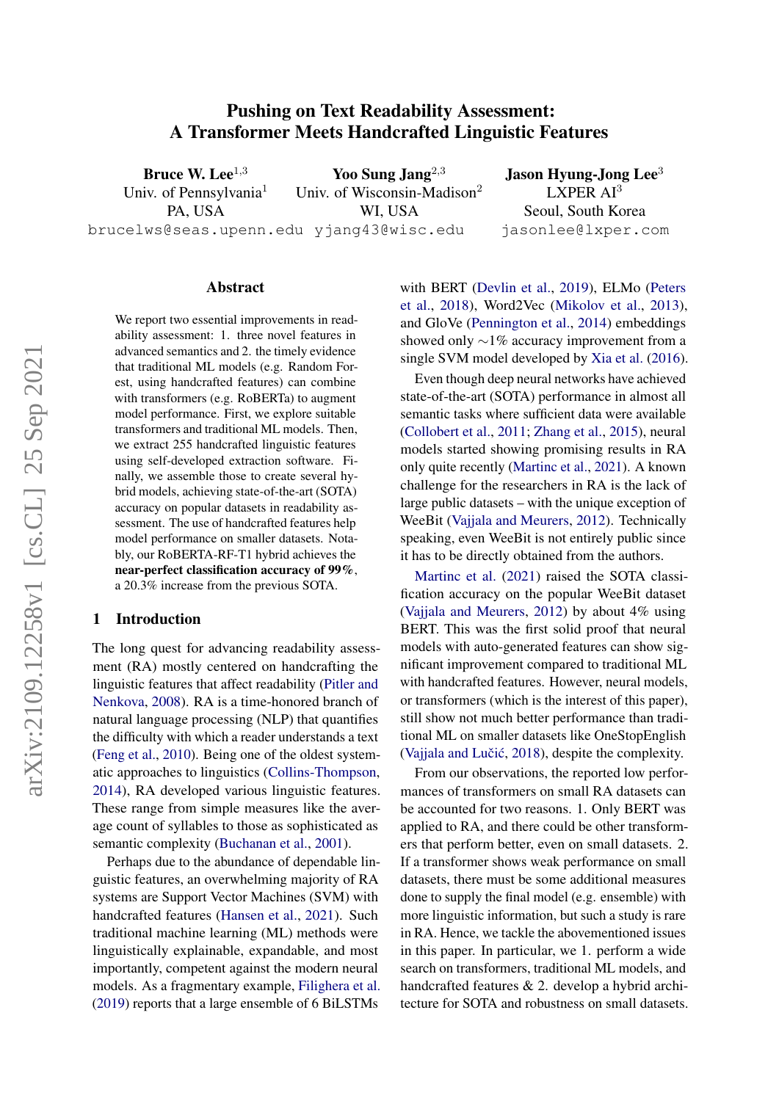# Pushing on Text Readability Assessment: A Transformer Meets Handcrafted Linguistic Features

Bruce W. Lee $^{1,3}$ Univ. of Pennsylvania<sup>1</sup> PA, USA brucelws@seas.upenn.edu yjang43@wisc.edu Yoo Sung Jang $^{2,3}$ Univ. of Wisconsin-Madison<sup>2</sup> WI, USA

Jason Hyung-Jong Lee<sup>3</sup>  $LXPER A I<sup>3</sup>$ Seoul, South Korea jasonlee@lxper.com

### Abstract

We report two essential improvements in readability assessment: 1. three novel features in advanced semantics and 2. the timely evidence that traditional ML models (e.g. Random Forest, using handcrafted features) can combine with transformers (e.g. RoBERTa) to augment model performance. First, we explore suitable transformers and traditional ML models. Then, we extract 255 handcrafted linguistic features using self-developed extraction software. Finally, we assemble those to create several hybrid models, achieving state-of-the-art (SOTA) accuracy on popular datasets in readability assessment. The use of handcrafted features help model performance on smaller datasets. Notably, our RoBERTA-RF-T1 hybrid achieves the near-perfect classification accuracy of 99%, a 20.3% increase from the previous SOTA.

#### 1 Introduction

The long quest for advancing readability assessment (RA) mostly centered on handcrafting the linguistic features that affect readability [\(Pitler and](#page-11-0) [Nenkova,](#page-11-0) [2008\)](#page-11-0). RA is a time-honored branch of natural language processing (NLP) that quantifies the difficulty with which a reader understands a text [\(Feng et al.,](#page-9-0) [2010\)](#page-9-0). Being one of the oldest systematic approaches to linguistics [\(Collins-Thompson,](#page-9-1) [2014\)](#page-9-1), RA developed various linguistic features. These range from simple measures like the average count of syllables to those as sophisticated as semantic complexity [\(Buchanan et al.,](#page-9-2) [2001\)](#page-9-2).

Perhaps due to the abundance of dependable linguistic features, an overwhelming majority of RA systems are Support Vector Machines (SVM) with handcrafted features [\(Hansen et al.,](#page-10-0) [2021\)](#page-10-0). Such traditional machine learning (ML) methods were linguistically explainable, expandable, and most importantly, competent against the modern neural models. As a fragmentary example, [Filighera et al.](#page-10-1) [\(2019\)](#page-10-1) reports that a large ensemble of 6 BiLSTMs

with BERT [\(Devlin et al.,](#page-9-3) [2019\)](#page-9-3), ELMo [\(Peters](#page-11-1) [et al.,](#page-11-1) [2018\)](#page-11-1), Word2Vec [\(Mikolov et al.,](#page-11-2) [2013\)](#page-11-2), and GloVe [\(Pennington et al.,](#page-11-3) [2014\)](#page-11-3) embeddings showed only ∼1% accuracy improvement from a single SVM model developed by [Xia et al.](#page-12-0) [\(2016\)](#page-12-0).

Even though deep neural networks have achieved state-of-the-art (SOTA) performance in almost all semantic tasks where sufficient data were available [\(Collobert et al.,](#page-9-4) [2011;](#page-9-4) [Zhang et al.,](#page-12-1) [2015\)](#page-12-1), neural models started showing promising results in RA only quite recently [\(Martinc et al.,](#page-11-4) [2021\)](#page-11-4). A known challenge for the researchers in RA is the lack of large public datasets – with the unique exception of WeeBit [\(Vajjala and Meurers,](#page-12-2) [2012\)](#page-12-2). Technically speaking, even WeeBit is not entirely public since it has to be directly obtained from the authors.

[Martinc et al.](#page-11-4) [\(2021\)](#page-11-4) raised the SOTA classification accuracy on the popular WeeBit dataset [\(Vajjala and Meurers,](#page-12-2) [2012\)](#page-12-2) by about 4% using BERT. This was the first solid proof that neural models with auto-generated features can show significant improvement compared to traditional ML with handcrafted features. However, neural models, or transformers (which is the interest of this paper), still show not much better performance than traditional ML on smaller datasets like OneStopEnglish (Vajjala and Lučić, [2018\)](#page-12-3), despite the complexity.

From our observations, the reported low performances of transformers on small RA datasets can be accounted for two reasons. 1. Only BERT was applied to RA, and there could be other transformers that perform better, even on small datasets. 2. If a transformer shows weak performance on small datasets, there must be some additional measures done to supply the final model (e.g. ensemble) with more linguistic information, but such a study is rare in RA. Hence, we tackle the abovementioned issues in this paper. In particular, we 1. perform a wide search on transformers, traditional ML models, and handcrafted features & 2. develop a hybrid architecture for SOTA and robustness on small datasets.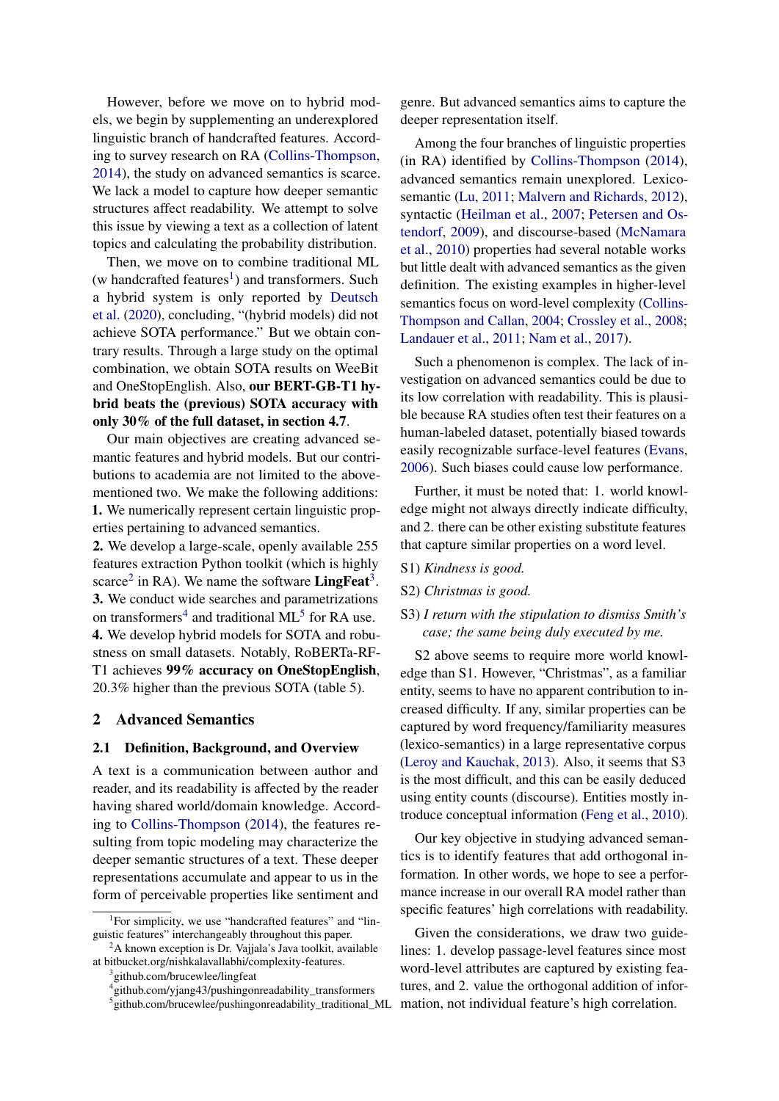However, before we move on to hybrid models, we begin by supplementing an underexplored linguistic branch of handcrafted features. According to survey research on RA [\(Collins-Thompson,](#page-9-1) [2014\)](#page-9-1), the study on advanced semantics is scarce. We lack a model to capture how deeper semantic structures affect readability. We attempt to solve this issue by viewing a text as a collection of latent topics and calculating the probability distribution.

Then, we move on to combine traditional ML  $(w \text{ handcraffed features}^1)$  $(w \text{ handcraffed features}^1)$  $(w \text{ handcraffed features}^1)$  and transformers. Such a hybrid system is only reported by [Deutsch](#page-9-5) [et al.](#page-9-5) [\(2020\)](#page-9-5), concluding, "(hybrid models) did not achieve SOTA performance." But we obtain contrary results. Through a large study on the optimal combination, we obtain SOTA results on WeeBit and OneStopEnglish. Also, our BERT-GB-T1 hybrid beats the (previous) SOTA accuracy with only 30% of the full dataset, in section 4.7.

Our main objectives are creating advanced semantic features and hybrid models. But our contributions to academia are not limited to the abovementioned two. We make the following additions: 1. We numerically represent certain linguistic properties pertaining to advanced semantics.

2. We develop a large-scale, openly available 255 features extraction Python toolkit (which is highly scarce<sup>[2](#page-1-1)</sup> in RA). We name the software **LingFeat**<sup>[3](#page-1-2)</sup>. 3. We conduct wide searches and parametrizations on transformers<sup>[4](#page-1-3)</sup> and traditional ML<sup>[5](#page-1-4)</sup> for RA use. 4. We develop hybrid models for SOTA and robustness on small datasets. Notably, RoBERTa-RF-T1 achieves 99% accuracy on OneStopEnglish, 20.3% higher than the previous SOTA (table 5).

### 2 Advanced Semantics

#### 2.1 Definition, Background, and Overview

A text is a communication between author and reader, and its readability is affected by the reader having shared world/domain knowledge. According to [Collins-Thompson](#page-9-1) [\(2014\)](#page-9-1), the features resulting from topic modeling may characterize the deeper semantic structures of a text. These deeper representations accumulate and appear to us in the form of perceivable properties like sentiment and

genre. But advanced semantics aims to capture the deeper representation itself.

Among the four branches of linguistic properties (in RA) identified by [Collins-Thompson](#page-9-1) [\(2014\)](#page-9-1), advanced semantics remain unexplored. Lexicosemantic [\(Lu,](#page-11-5) [2011;](#page-11-5) [Malvern and Richards,](#page-11-6) [2012\)](#page-11-6), syntactic [\(Heilman et al.,](#page-10-2) [2007;](#page-10-2) [Petersen and Os](#page-11-7)[tendorf,](#page-11-7) [2009\)](#page-11-7), and discourse-based [\(McNamara](#page-11-8) [et al.,](#page-11-8) [2010\)](#page-11-8) properties had several notable works but little dealt with advanced semantics as the given definition. The existing examples in higher-level semantics focus on word-level complexity [\(Collins-](#page-9-6)[Thompson and Callan,](#page-9-6) [2004;](#page-9-6) [Crossley et al.,](#page-9-7) [2008;](#page-9-7) [Landauer et al.,](#page-10-3) [2011;](#page-10-3) [Nam et al.,](#page-11-9) [2017\)](#page-11-9).

Such a phenomenon is complex. The lack of investigation on advanced semantics could be due to its low correlation with readability. This is plausible because RA studies often test their features on a human-labeled dataset, potentially biased towards easily recognizable surface-level features [\(Evans,](#page-9-8) [2006\)](#page-9-8). Such biases could cause low performance.

Further, it must be noted that: 1. world knowledge might not always directly indicate difficulty, and 2. there can be other existing substitute features that capture similar properties on a word level.

- S1) *Kindness is good.*
- S2) *Christmas is good.*
- S3) *I return with the stipulation to dismiss Smith's case; the same being duly executed by me.*

S2 above seems to require more world knowledge than S1. However, "Christmas", as a familiar entity, seems to have no apparent contribution to increased difficulty. If any, similar properties can be captured by word frequency/familiarity measures (lexico-semantics) in a large representative corpus [\(Leroy and Kauchak,](#page-10-4) [2013\)](#page-10-4). Also, it seems that S3 is the most difficult, and this can be easily deduced using entity counts (discourse). Entities mostly introduce conceptual information [\(Feng et al.,](#page-9-0) [2010\)](#page-9-0).

Our key objective in studying advanced semantics is to identify features that add orthogonal information. In other words, we hope to see a performance increase in our overall RA model rather than specific features' high correlations with readability.

Given the considerations, we draw two guidelines: 1. develop passage-level features since most word-level attributes are captured by existing features, and 2. value the orthogonal addition of information, not individual feature's high correlation.

<span id="page-1-0"></span><sup>&</sup>lt;sup>1</sup>For simplicity, we use "handcrafted features" and "linguistic features" interchangeably throughout this paper.

<span id="page-1-1"></span> $2A$  known exception is Dr. Vajjala's Java toolkit, available at bitbucket.org/nishkalavallabhi/complexity-features.

<span id="page-1-2"></span><sup>&</sup>lt;sup>3</sup> github.com/brucewlee/lingfeat

<span id="page-1-3"></span><sup>4</sup> github.com/yjang43/pushingonreadability\_transformers

<span id="page-1-4"></span><sup>5</sup> github.com/brucewlee/pushingonreadability\_traditional\_ML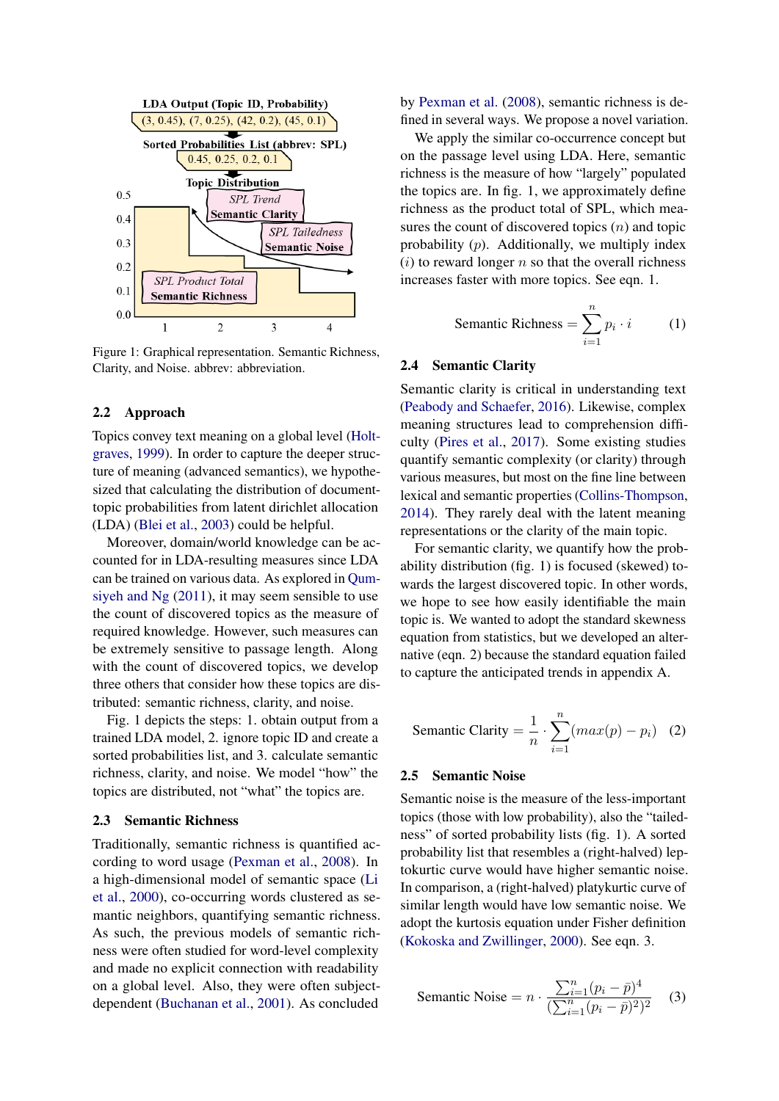

Figure 1: Graphical representation. Semantic Richness, Clarity, and Noise. abbrev: abbreviation.

#### 2.2 Approach

Topics convey text meaning on a global level [\(Holt](#page-10-5)[graves,](#page-10-5) [1999\)](#page-10-5). In order to capture the deeper structure of meaning (advanced semantics), we hypothesized that calculating the distribution of documenttopic probabilities from latent dirichlet allocation (LDA) [\(Blei et al.,](#page-9-9) [2003\)](#page-9-9) could be helpful.

Moreover, domain/world knowledge can be accounted for in LDA-resulting measures since LDA can be trained on various data. As explored in [Qum](#page-11-10)[siyeh and Ng](#page-11-10) [\(2011\)](#page-11-10), it may seem sensible to use the count of discovered topics as the measure of required knowledge. However, such measures can be extremely sensitive to passage length. Along with the count of discovered topics, we develop three others that consider how these topics are distributed: semantic richness, clarity, and noise.

Fig. 1 depicts the steps: 1. obtain output from a trained LDA model, 2. ignore topic ID and create a sorted probabilities list, and 3. calculate semantic richness, clarity, and noise. We model "how" the topics are distributed, not "what" the topics are.

### 2.3 Semantic Richness

Traditionally, semantic richness is quantified according to word usage [\(Pexman et al.,](#page-11-11) [2008\)](#page-11-11). In a high-dimensional model of semantic space [\(Li](#page-10-6) [et al.,](#page-10-6) [2000\)](#page-10-6), co-occurring words clustered as semantic neighbors, quantifying semantic richness. As such, the previous models of semantic richness were often studied for word-level complexity and made no explicit connection with readability on a global level. Also, they were often subjectdependent [\(Buchanan et al.,](#page-9-2) [2001\)](#page-9-2). As concluded

by [Pexman et al.](#page-11-11) [\(2008\)](#page-11-11), semantic richness is defined in several ways. We propose a novel variation.

We apply the similar co-occurrence concept but on the passage level using LDA. Here, semantic richness is the measure of how "largely" populated the topics are. In fig. 1, we approximately define richness as the product total of SPL, which measures the count of discovered topics  $(n)$  and topic probability  $(p)$ . Additionally, we multiply index  $(i)$  to reward longer n so that the overall richness increases faster with more topics. See eqn. 1.

$$
Sematic \, Richards = \sum_{i=1}^{n} p_i \cdot i \qquad (1)
$$

#### 2.4 Semantic Clarity

Semantic clarity is critical in understanding text [\(Peabody and Schaefer,](#page-11-12) [2016\)](#page-11-12). Likewise, complex meaning structures lead to comprehension difficulty [\(Pires et al.,](#page-11-13) [2017\)](#page-11-13). Some existing studies quantify semantic complexity (or clarity) through various measures, but most on the fine line between lexical and semantic properties [\(Collins-Thompson,](#page-9-1) [2014\)](#page-9-1). They rarely deal with the latent meaning representations or the clarity of the main topic.

For semantic clarity, we quantify how the probability distribution (fig. 1) is focused (skewed) towards the largest discovered topic. In other words, we hope to see how easily identifiable the main topic is. We wanted to adopt the standard skewness equation from statistics, but we developed an alternative (eqn. 2) because the standard equation failed to capture the anticipated trends in appendix A.

$$
\text{Sematic }\text{Clarity} = \frac{1}{n} \cdot \sum_{i=1}^{n} (max(p) - p_i) \quad (2)
$$

#### 2.5 Semantic Noise

Semantic noise is the measure of the less-important topics (those with low probability), also the "tailedness" of sorted probability lists (fig. 1). A sorted probability list that resembles a (right-halved) leptokurtic curve would have higher semantic noise. In comparison, a (right-halved) platykurtic curve of similar length would have low semantic noise. We adopt the kurtosis equation under Fisher definition [\(Kokoska and Zwillinger,](#page-10-7) [2000\)](#page-10-7). See eqn. 3.

$$
\text{Semantic Noise} = n \cdot \frac{\sum_{i=1}^{n} (p_i - \bar{p})^4}{(\sum_{i=1}^{n} (p_i - \bar{p})^2)^2} \tag{3}
$$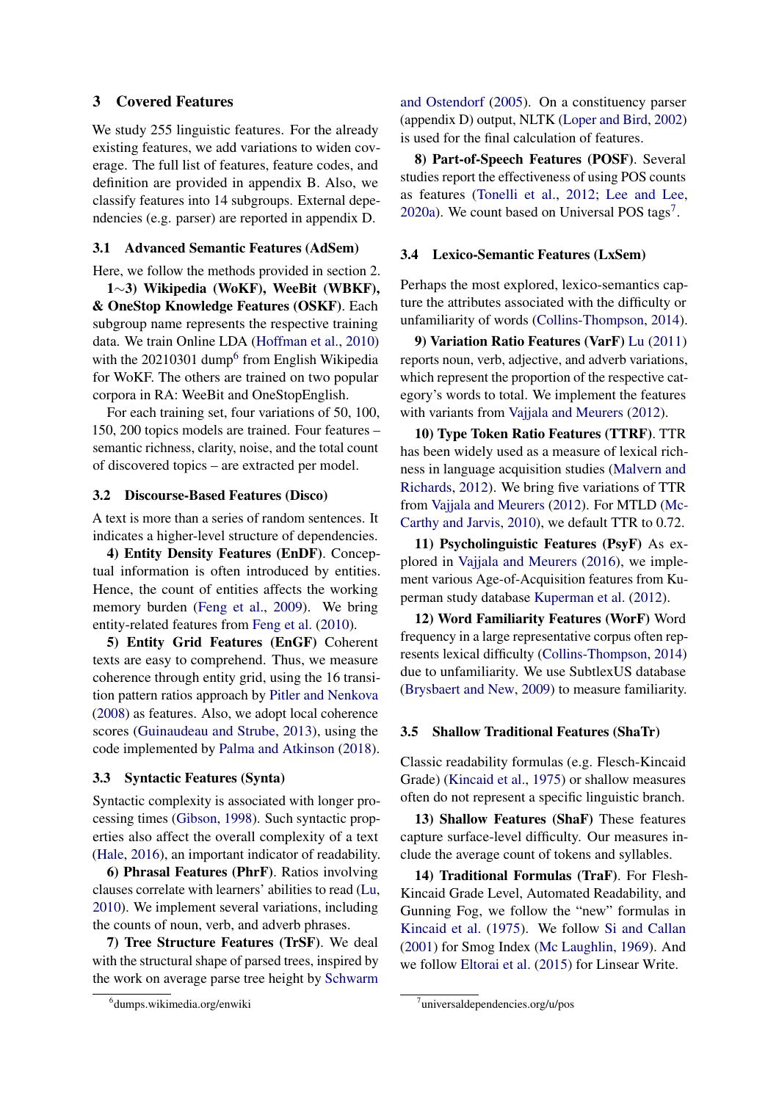## 3 Covered Features

We study 255 linguistic features. For the already existing features, we add variations to widen coverage. The full list of features, feature codes, and definition are provided in appendix B. Also, we classify features into 14 subgroups. External dependencies (e.g. parser) are reported in appendix D.

### 3.1 Advanced Semantic Features (AdSem)

Here, we follow the methods provided in section 2.

1∼3) Wikipedia (WoKF), WeeBit (WBKF), & OneStop Knowledge Features (OSKF). Each subgroup name represents the respective training data. We train Online LDA [\(Hoffman et al.,](#page-10-8) [2010\)](#page-10-8) with the 20210301 dump<sup>[6](#page-3-0)</sup> from English Wikipedia for WoKF. The others are trained on two popular corpora in RA: WeeBit and OneStopEnglish.

For each training set, four variations of 50, 100, 150, 200 topics models are trained. Four features – semantic richness, clarity, noise, and the total count of discovered topics – are extracted per model.

## 3.2 Discourse-Based Features (Disco)

A text is more than a series of random sentences. It indicates a higher-level structure of dependencies.

4) Entity Density Features (EnDF). Conceptual information is often introduced by entities. Hence, the count of entities affects the working memory burden [\(Feng et al.,](#page-9-10) [2009\)](#page-9-10). We bring entity-related features from [Feng et al.](#page-9-0) [\(2010\)](#page-9-0).

5) Entity Grid Features (EnGF) Coherent texts are easy to comprehend. Thus, we measure coherence through entity grid, using the 16 transition pattern ratios approach by [Pitler and Nenkova](#page-11-0) [\(2008\)](#page-11-0) as features. Also, we adopt local coherence scores [\(Guinaudeau and Strube,](#page-10-9) [2013\)](#page-10-9), using the code implemented by [Palma and Atkinson](#page-11-14) [\(2018\)](#page-11-14).

## 3.3 Syntactic Features (Synta)

Syntactic complexity is associated with longer processing times [\(Gibson,](#page-10-10) [1998\)](#page-10-10). Such syntactic properties also affect the overall complexity of a text [\(Hale,](#page-10-11) [2016\)](#page-10-11), an important indicator of readability.

6) Phrasal Features (PhrF). Ratios involving clauses correlate with learners' abilities to read [\(Lu,](#page-11-15) [2010\)](#page-11-15). We implement several variations, including the counts of noun, verb, and adverb phrases.

7) Tree Structure Features (TrSF). We deal with the structural shape of parsed trees, inspired by the work on average parse tree height by [Schwarm](#page-12-4)

[and Ostendorf](#page-12-4) [\(2005\)](#page-12-4). On a constituency parser (appendix D) output, NLTK [\(Loper and Bird,](#page-10-12) [2002\)](#page-10-12) is used for the final calculation of features.

8) Part-of-Speech Features (POSF). Several studies report the effectiveness of using POS counts as features [\(Tonelli et al.,](#page-12-5) [2012;](#page-12-5) [Lee and Lee,](#page-10-13) [2020a\)](#page-10-13). We count based on Universal POS tags<sup>[7](#page-3-1)</sup>.

### 3.4 Lexico-Semantic Features (LxSem)

Perhaps the most explored, lexico-semantics capture the attributes associated with the difficulty or unfamiliarity of words [\(Collins-Thompson,](#page-9-1) [2014\)](#page-9-1).

9) Variation Ratio Features (VarF) [Lu](#page-11-5) [\(2011\)](#page-11-5) reports noun, verb, adjective, and adverb variations, which represent the proportion of the respective category's words to total. We implement the features with variants from [Vajjala and Meurers](#page-12-2) [\(2012\)](#page-12-2).

10) Type Token Ratio Features (TTRF). TTR has been widely used as a measure of lexical richness in language acquisition studies [\(Malvern and](#page-11-6) [Richards,](#page-11-6) [2012\)](#page-11-6). We bring five variations of TTR from [Vajjala and Meurers](#page-12-2) [\(2012\)](#page-12-2). For MTLD [\(Mc-](#page-11-16)[Carthy and Jarvis,](#page-11-16) [2010\)](#page-11-16), we default TTR to 0.72.

11) Psycholinguistic Features (PsyF) As explored in [Vajjala and Meurers](#page-12-6) [\(2016\)](#page-12-6), we implement various Age-of-Acquisition features from Kuperman study database [Kuperman et al.](#page-10-14) [\(2012\)](#page-10-14).

12) Word Familiarity Features (WorF) Word frequency in a large representative corpus often represents lexical difficulty [\(Collins-Thompson,](#page-9-1) [2014\)](#page-9-1) due to unfamiliarity. We use SubtlexUS database [\(Brysbaert and New,](#page-9-11) [2009\)](#page-9-11) to measure familiarity.

#### 3.5 Shallow Traditional Features (ShaTr)

Classic readability formulas (e.g. Flesch-Kincaid Grade) [\(Kincaid et al.,](#page-10-15) [1975\)](#page-10-15) or shallow measures often do not represent a specific linguistic branch.

13) Shallow Features (ShaF) These features capture surface-level difficulty. Our measures include the average count of tokens and syllables.

14) Traditional Formulas (TraF). For Flesh-Kincaid Grade Level, Automated Readability, and Gunning Fog, we follow the "new" formulas in [Kincaid et al.](#page-10-15) [\(1975\)](#page-10-15). We follow [Si and Callan](#page-12-7) [\(2001\)](#page-12-7) for Smog Index [\(Mc Laughlin,](#page-11-17) [1969\)](#page-11-17). And we follow [Eltorai et al.](#page-9-12) [\(2015\)](#page-9-12) for Linsear Write.

<span id="page-3-0"></span><sup>6</sup> [dumps.wikimedia.org/enwiki](#page-12-4)

<span id="page-3-1"></span><sup>7</sup> universaldependencies.org/u/pos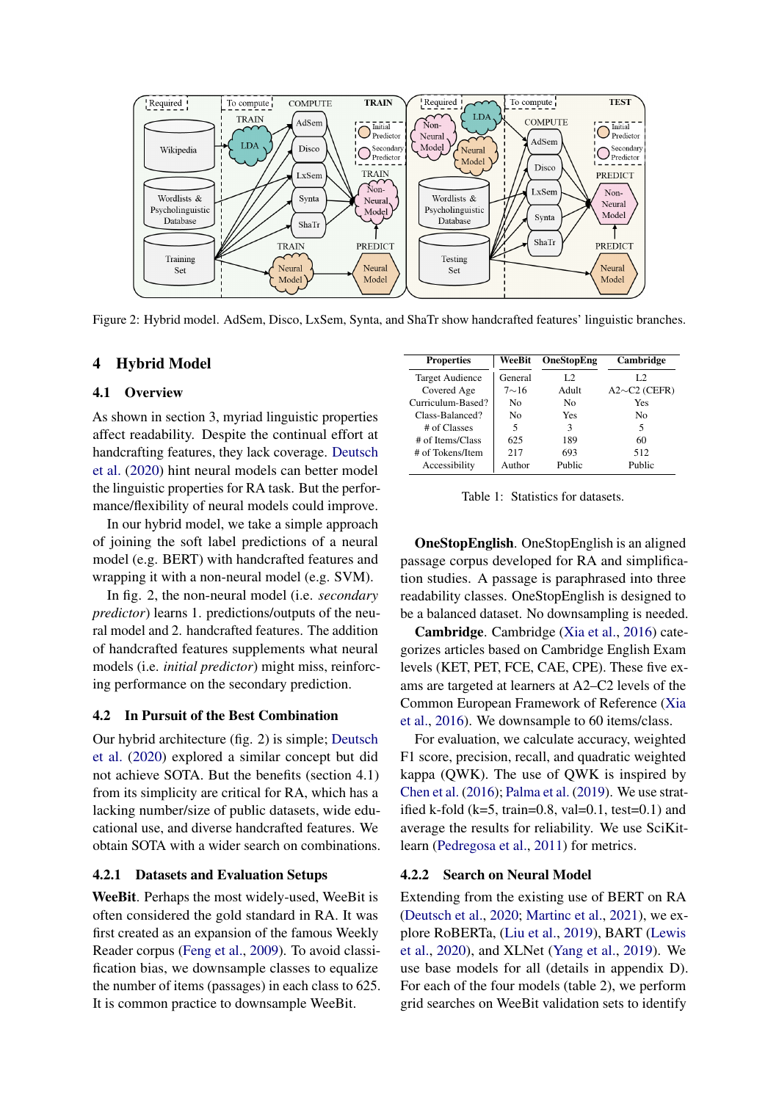

Figure 2: Hybrid model. AdSem, Disco, LxSem, Synta, and ShaTr show handcrafted features' linguistic branches.

## 4 Hybrid Model

### 4.1 Overview

As shown in section 3, myriad linguistic properties affect readability. Despite the continual effort at handcrafting features, they lack coverage. [Deutsch](#page-9-5) [et al.](#page-9-5) [\(2020\)](#page-9-5) hint neural models can better model the linguistic properties for RA task. But the performance/flexibility of neural models could improve.

In our hybrid model, we take a simple approach of joining the soft label predictions of a neural model (e.g. BERT) with handcrafted features and wrapping it with a non-neural model (e.g. SVM).

In fig. 2, the non-neural model (i.e. *secondary predictor*) learns 1. predictions/outputs of the neural model and 2. handcrafted features. The addition of handcrafted features supplements what neural models (i.e. *initial predictor*) might miss, reinforcing performance on the secondary prediction.

## 4.2 In Pursuit of the Best Combination

Our hybrid architecture (fig. 2) is simple; [Deutsch](#page-9-5) [et al.](#page-9-5) [\(2020\)](#page-9-5) explored a similar concept but did not achieve SOTA. But the benefits (section 4.1) from its simplicity are critical for RA, which has a lacking number/size of public datasets, wide educational use, and diverse handcrafted features. We obtain SOTA with a wider search on combinations.

#### 4.2.1 Datasets and Evaluation Setups

WeeBit. Perhaps the most widely-used, WeeBit is often considered the gold standard in RA. It was first created as an expansion of the famous Weekly Reader corpus [\(Feng et al.,](#page-9-10) [2009\)](#page-9-10). To avoid classification bias, we downsample classes to equalize the number of items (passages) in each class to 625. It is common practice to downsample WeeBit.

| <b>Properties</b>      | WeeBit      | OneStopEng | Cambridge          |
|------------------------|-------------|------------|--------------------|
| <b>Target Audience</b> | General     | L2         | L2                 |
| Covered Age            | $7{\sim}16$ | Adult      | $A2\sim C2$ (CEFR) |
| Curriculum-Based?      | No          | No         | Yes                |
| Class-Balanced?        | No          | Yes        | No                 |
| # of Classes           | 5           | 3          | 5                  |
| # of Items/Class       | 625         | 189        | 60                 |
| # of Tokens/Item       | 217         | 693        | 512                |
| Accessibility          | Author      | Public     | Public             |

Table 1: Statistics for datasets.

OneStopEnglish. OneStopEnglish is an aligned passage corpus developed for RA and simplification studies. A passage is paraphrased into three readability classes. OneStopEnglish is designed to be a balanced dataset. No downsampling is needed.

Cambridge. Cambridge [\(Xia et al.,](#page-12-0) [2016\)](#page-12-0) categorizes articles based on Cambridge English Exam levels (KET, PET, FCE, CAE, CPE). These five exams are targeted at learners at A2–C2 levels of the Common European Framework of Reference [\(Xia](#page-12-0) [et al.,](#page-12-0) [2016\)](#page-12-0). We downsample to 60 items/class.

For evaluation, we calculate accuracy, weighted F1 score, precision, recall, and quadratic weighted kappa (QWK). The use of QWK is inspired by [Chen et al.](#page-9-13) [\(2016\)](#page-9-13); [Palma et al.](#page-11-18) [\(2019\)](#page-11-18). We use stratified k-fold (k=5, train=0.8, val=0.1, test=0.1) and average the results for reliability. We use SciKitlearn [\(Pedregosa et al.,](#page-11-19) [2011\)](#page-11-19) for metrics.

## 4.2.2 Search on Neural Model

Extending from the existing use of BERT on RA [\(Deutsch et al.,](#page-9-5) [2020;](#page-9-5) [Martinc et al.,](#page-11-4) [2021\)](#page-11-4), we explore RoBERTa, [\(Liu et al.,](#page-10-16) [2019\)](#page-10-16), BART [\(Lewis](#page-10-17) [et al.,](#page-10-17) [2020\)](#page-10-17), and XLNet [\(Yang et al.,](#page-12-8) [2019\)](#page-12-8). We use base models for all (details in appendix D). For each of the four models (table 2), we perform grid searches on WeeBit validation sets to identify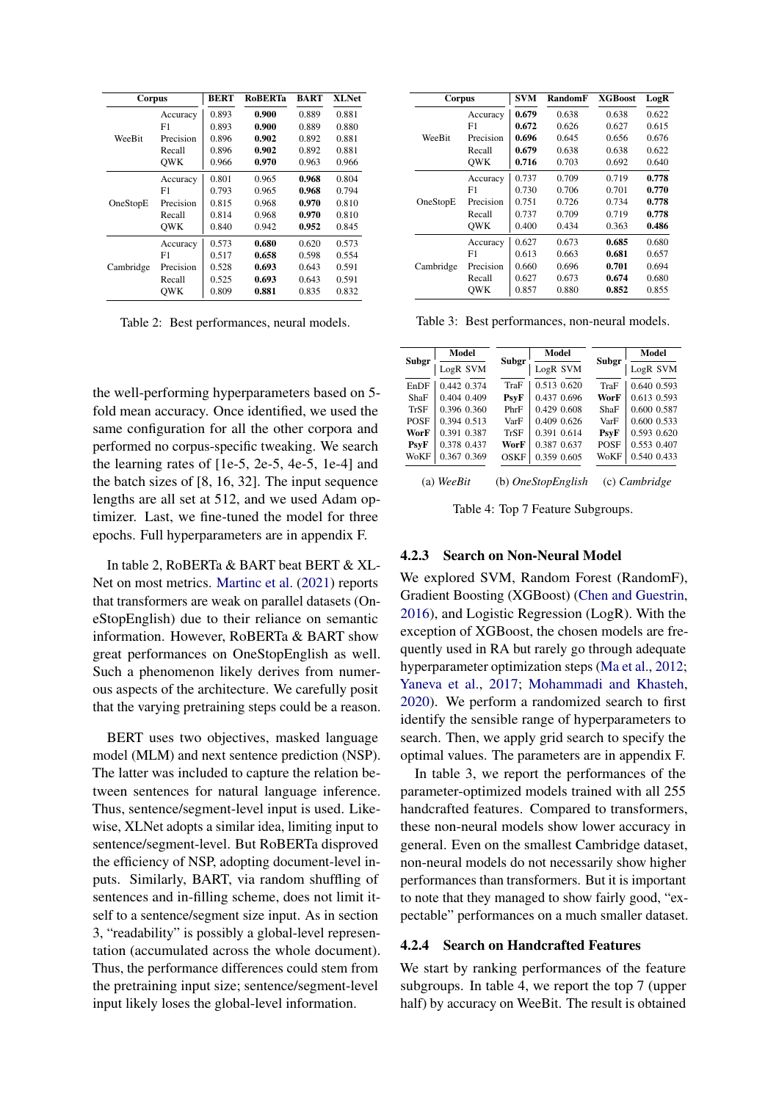| Corpus    |           | <b>BERT</b> | <b>RoBERTa</b> | <b>BART</b> | <b>XLNet</b> |
|-----------|-----------|-------------|----------------|-------------|--------------|
|           | Accuracy  | 0.893       | 0.900          | 0.889       | 0.881        |
|           | F1        | 0.893       | 0.900          | 0.889       | 0.880        |
| WeeBit    | Precision | 0.896       | 0.902          | 0.892       | 0.881        |
|           | Recall    | 0.896       | 0.902          | 0.892       | 0.881        |
|           | OWK       | 0.966       | 0.970          | 0.963       | 0.966        |
|           | Accuracy  | 0.801       | 0.965          | 0.968       | 0.804        |
|           | F1        | 0.793       | 0.965          | 0.968       | 0.794        |
| OneStopE  | Precision | 0.815       | 0.968          | 0.970       | 0.810        |
|           | Recall    | 0.814       | 0.968          | 0.970       | 0.810        |
|           | OWK       | 0.840       | 0.942          | 0.952       | 0.845        |
|           | Accuracy  | 0.573       | 0.680          | 0.620       | 0.573        |
|           | F1        | 0.517       | 0.658          | 0.598       | 0.554        |
| Cambridge | Precision | 0.528       | 0.693          | 0.643       | 0.591        |
|           | Recall    | 0.525       | 0.693          | 0.643       | 0.591        |
|           | OWK       | 0.809       | 0.881          | 0.835       | 0.832        |

Table 2: Best performances, neural models.

the well-performing hyperparameters based on 5 fold mean accuracy. Once identified, we used the same configuration for all the other corpora and performed no corpus-specific tweaking. We search the learning rates of [1e-5, 2e-5, 4e-5, 1e-4] and the batch sizes of [8, 16, 32]. The input sequence lengths are all set at 512, and we used Adam optimizer. Last, we fine-tuned the model for three epochs. Full hyperparameters are in appendix F.

In table 2, RoBERTa & BART beat BERT & XL-Net on most metrics. [Martinc et al.](#page-11-4) [\(2021\)](#page-11-4) reports that transformers are weak on parallel datasets (OneStopEnglish) due to their reliance on semantic information. However, RoBERTa & BART show great performances on OneStopEnglish as well. Such a phenomenon likely derives from numerous aspects of the architecture. We carefully posit that the varying pretraining steps could be a reason.

BERT uses two objectives, masked language model (MLM) and next sentence prediction (NSP). The latter was included to capture the relation between sentences for natural language inference. Thus, sentence/segment-level input is used. Likewise, XLNet adopts a similar idea, limiting input to sentence/segment-level. But RoBERTa disproved the efficiency of NSP, adopting document-level inputs. Similarly, BART, via random shuffling of sentences and in-filling scheme, does not limit itself to a sentence/segment size input. As in section 3, "readability" is possibly a global-level representation (accumulated across the whole document). Thus, the performance differences could stem from the pretraining input size; sentence/segment-level input likely loses the global-level information.

| Corpus    |            | <b>SVM</b> | RandomF | <b>XGBoost</b> | LogR  |
|-----------|------------|------------|---------|----------------|-------|
|           | Accuracy   | 0.679      | 0.638   | 0.638          | 0.622 |
|           | F1         | 0.672      | 0.626   | 0.627          | 0.615 |
| WeeBit    | Precision  | 0.696      | 0.645   | 0.656          | 0.676 |
|           | Recall     | 0.679      | 0.638   | 0.638          | 0.622 |
|           | <b>OWK</b> | 0.716      | 0.703   | 0.692          | 0.640 |
|           | Accuracy   | 0.737      | 0.709   | 0.719          | 0.778 |
|           | F1         | 0.730      | 0.706   | 0.701          | 0.770 |
| OneStopE  | Precision  | 0.751      | 0.726   | 0.734          | 0.778 |
|           | Recall     | 0.737      | 0.709   | 0.719          | 0.778 |
|           | <b>OWK</b> | 0.400      | 0.434   | 0.363          | 0.486 |
|           | Accuracy   | 0.627      | 0.673   | 0.685          | 0.680 |
| Cambridge | F1         | 0.613      | 0.663   | 0.681          | 0.657 |
|           | Precision  | 0.660      | 0.696   | 0.701          | 0.694 |
|           | Recall     | 0.627      | 0.673   | 0.674          | 0.680 |
|           | OWK        | 0.857      | 0.880   | 0.852          | 0.855 |

Table 3: Best performances, non-neural models.

|              | Model       |             | Model              |              | Model         |  |
|--------------|-------------|-------------|--------------------|--------------|---------------|--|
| <b>Subgr</b> | LogR SVM    | Subgr       | LogR SVM           | <b>Subgr</b> | LogR SVM      |  |
| EnDF         | 0.442 0.374 | TraF        | 0.513 0.620        | TraF         | 0.640 0.593   |  |
| ShaF         | 0.404 0.409 | <b>PsyF</b> | 0.437 0.696        | WorF         | 0.613 0.593   |  |
| <b>TrSF</b>  | 0.396 0.360 | PhrF        | 0.429 0.608        | ShaF         | 0.600 0.587   |  |
| <b>POSE</b>  | 0.394 0.513 | VarF        | 0.409 0.626        | VarF         | 0.600 0.533   |  |
| WorF         | 0.391 0.387 | TrSF        | 0.391 0.614        | <b>PsyF</b>  | 0.593 0.620   |  |
| <b>PsyF</b>  | 0.378 0.437 | WorF        | 0.387 0.637        | POSF         | 0.553 0.407   |  |
| WoKF         | 0.367 0.369 | <b>OSKF</b> | 0.359 0.605        | WoKF         | 0.540 0.433   |  |
|              | (a) WeeBit  |             | (b) OneStopEnglish |              | (c) Cambridge |  |

Table 4: Top 7 Feature Subgroups.

### 4.2.3 Search on Non-Neural Model

We explored SVM, Random Forest (RandomF), Gradient Boosting (XGBoost) [\(Chen and Guestrin,](#page-9-14) [2016\)](#page-9-14), and Logistic Regression (LogR). With the exception of XGBoost, the chosen models are frequently used in RA but rarely go through adequate hyperparameter optimization steps [\(Ma et al.,](#page-11-20) [2012;](#page-11-20) [Yaneva et al.,](#page-12-9) [2017;](#page-12-9) [Mohammadi and Khasteh,](#page-11-21) [2020\)](#page-11-21). We perform a randomized search to first identify the sensible range of hyperparameters to search. Then, we apply grid search to specify the optimal values. The parameters are in appendix F.

In table 3, we report the performances of the parameter-optimized models trained with all 255 handcrafted features. Compared to transformers, these non-neural models show lower accuracy in general. Even on the smallest Cambridge dataset, non-neural models do not necessarily show higher performances than transformers. But it is important to note that they managed to show fairly good, "expectable" performances on a much smaller dataset.

### 4.2.4 Search on Handcrafted Features

We start by ranking performances of the feature subgroups. In table 4, we report the top 7 (upper half) by accuracy on WeeBit. The result is obtained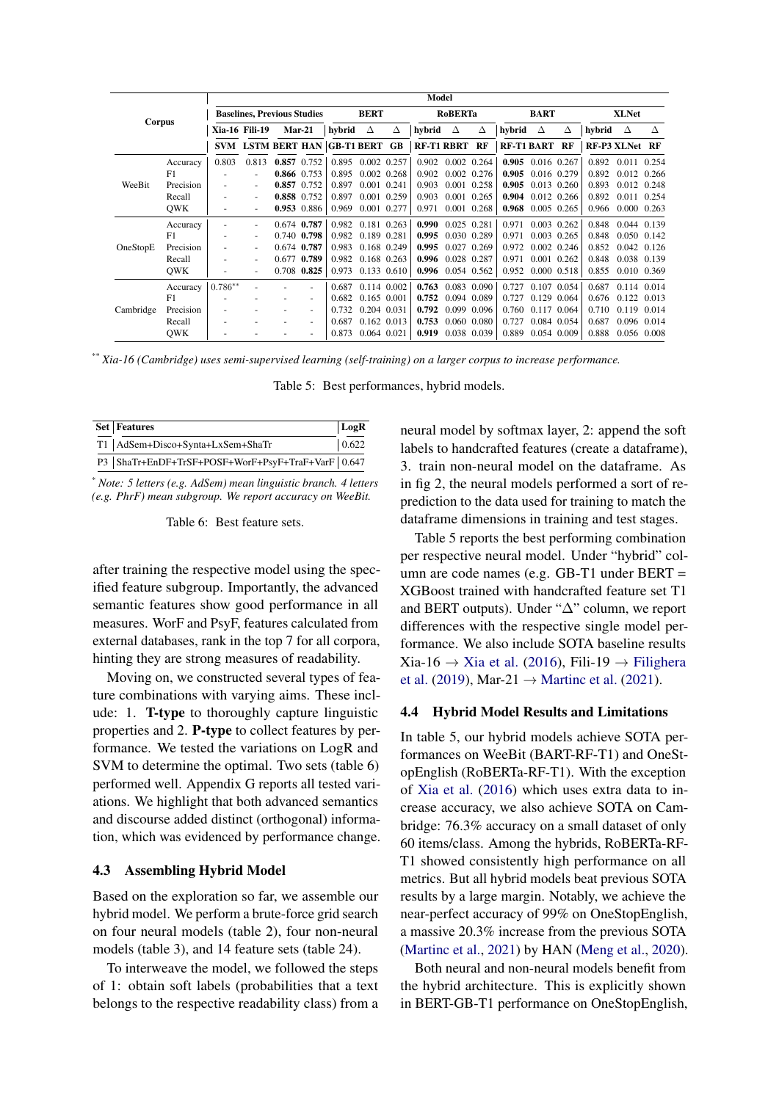|           |            |                                    |                          |  |             |                          |                 | Model |                   |                     |             |                   |                 |              |        |                |       |
|-----------|------------|------------------------------------|--------------------------|--|-------------|--------------------------|-----------------|-------|-------------------|---------------------|-------------|-------------------|-----------------|--------------|--------|----------------|-------|
|           |            | <b>Baselines, Previous Studies</b> |                          |  |             | <b>BERT</b>              |                 |       | <b>RoBERTa</b>    |                     | <b>BART</b> |                   |                 | <b>XLNet</b> |        |                |       |
| Corpus    |            |                                    | <b>Xia-16 Fili-19</b>    |  | $Mar-21$    | hybrid                   | Δ               | Δ     | hybrid            | Δ                   | Δ           | hybrid            | Δ               | Δ            | hybrid | Δ              | Δ     |
|           |            | <b>SVM</b>                         |                          |  |             | LSTM BERT HAN GB-T1 BERT |                 | GB    | <b>RF-T1 RBRT</b> |                     | RF          | <b>RF-T1 BART</b> |                 | RF           |        | RF-P3 XLNet RF |       |
|           | Accuracy   | 0.803                              | 0.813                    |  | 0.857 0.752 | 0.895                    | 0.002 0.257     |       | 0.902             | $0.002$ 0.264       |             | 0.905             | 0.016 0.267     |              | 0.892  | 0.011          | 0.254 |
|           | F1         | $\overline{\phantom{a}}$           |                          |  | 0.866 0.753 | 0.895                    | $0.002$ $0.268$ |       | 0.902             | 0.002 0.276         |             | 0.905             | 0.016 0.279     |              | 0.892  | 0.012 0.266    |       |
| WeeBit    | Precision  |                                    | $\overline{\phantom{a}}$ |  | 0.857 0.752 | 0.897                    | 0.001 0.241     |       | 0.903             | 0.001 0.258         |             | 0.905             | 0.013 0.260     |              | 0.893  | 0.012 0.248    |       |
|           | Recall     | $\overline{\phantom{a}}$           | $\overline{\phantom{a}}$ |  | 0.858 0.752 | 0.897                    | 0.001 0.259     |       | 0.903             | 0.001 0.265         |             | 0.904             | 0.012 0.266     |              | 0.892  | 0.011          | 0.254 |
|           | <b>OWK</b> | $\overline{\phantom{a}}$           | $\overline{\phantom{a}}$ |  | 0.953 0.886 | 0.969                    | 0.001           | 0.277 | 0.971             | 0.001               | 0.268       | 0.968             | 0.005           | 0.265        | 0.966  | 0.000          | 0.263 |
|           | Accuracy   | ٠                                  | $\overline{\phantom{a}}$ |  | 0.674 0.787 | 0.982                    | 0.181 0.263     |       | 0.990             | 0.025 0.281         |             | 0.971             | 0.003 0.262     |              | 0.848  | 0.044 0.139    |       |
|           | F1         | $\overline{\phantom{a}}$           | $\overline{\phantom{a}}$ |  | 0.740 0.798 | 0.982                    | 0.189 0.281     |       | 0.995             | 0.030 0.289         |             | 0.971             | 0.003 0.265     |              | 0.848  | 0.050          | 0.142 |
| OneStopE  | Precision  | ٠                                  | $\overline{\phantom{a}}$ |  | 0.674 0.787 | 0.983                    | 0.168 0.249     |       | 0.995             | 0.027               | 0.269       | 0.972             | 0.002 0.246     |              | 0.852  | 0.042          | 0.126 |
|           | Recall     |                                    |                          |  | 0.677 0.789 | 0.982                    | 0.168 0.263     |       | 0.996             | 0.028 0.287         |             | 0.971             | 0.001 0.262     |              | 0.848  | 0.038 0.139    |       |
|           | <b>OWK</b> |                                    |                          |  | 0.708 0.825 | 0.973                    | 0.133 0.610     |       |                   | $0.996$ 0.054 0.562 |             | 0.952             | $0.000$ $0.518$ |              | 0.855  | 0.010 0.369    |       |
|           | Accuracy   | $0.786**$                          |                          |  |             | 0.687                    | 0.114 0.002     |       | 0.763             | 0.083 0.090         |             | 0.727             | 0.107 0.054     |              | 0.687  | 0.114 0.014    |       |
|           | F1         |                                    |                          |  |             | 0.682                    | $0.165$ $0.001$ |       | 0.752             | 0.094 0.089         |             | 0.727             | 0.129           | 0.064        | 0.676  | 0.122          | 0.013 |
| Cambridge | Precision  |                                    |                          |  |             | 0.732                    | 0.204 0.031     |       | 0.792             | 0.099 0.096         |             | 0.760             | 0.117           | 0.064        | 0.710  | 0.119          | 0.014 |
|           | Recall     | $\overline{\phantom{a}}$           |                          |  |             | 0.687                    | 0.162 0.013     |       | 0.753             | 0.060 0.080         |             | 0.727             | 0.084           | 0.054        | 0.687  | 0.096          | 0.014 |
|           | <b>OWK</b> |                                    |                          |  |             | 0.873                    | 0.064 0.021     |       | 0.919             | 0.038 0.039         |             | 0.889             | 0.054 0.009     |              | 0.888  | 0.056          | 0.008 |

\*\* *Xia-16 (Cambridge) uses semi-supervised learning (self-training) on a larger corpus to increase performance.*

Table 5: Best performances, hybrid models.

| <b>Set Features</b>                                   | $\vert$ LogR  |
|-------------------------------------------------------|---------------|
| T1   AdSem+Disco+Synta+LxSem+ShaTr                    | $\vert 0.622$ |
| P3   ShaTr+EnDF+TrSF+POSF+WorF+PsyF+TraF+VarF   0.647 |               |

\* *Note: 5 letters (e.g. AdSem) mean linguistic branch. 4 letters (e.g. PhrF) mean subgroup. We report accuracy on WeeBit.*

Table 6: Best feature sets.

after training the respective model using the specified feature subgroup. Importantly, the advanced semantic features show good performance in all measures. WorF and PsyF, features calculated from external databases, rank in the top 7 for all corpora, hinting they are strong measures of readability.

Moving on, we constructed several types of feature combinations with varying aims. These include: 1. T-type to thoroughly capture linguistic properties and 2. P-type to collect features by performance. We tested the variations on LogR and SVM to determine the optimal. Two sets (table 6) performed well. Appendix G reports all tested variations. We highlight that both advanced semantics and discourse added distinct (orthogonal) information, which was evidenced by performance change.

### 4.3 Assembling Hybrid Model

Based on the exploration so far, we assemble our hybrid model. We perform a brute-force grid search on four neural models (table 2), four non-neural models (table 3), and 14 feature sets (table 24).

To interweave the model, we followed the steps of 1: obtain soft labels (probabilities that a text belongs to the respective readability class) from a neural model by softmax layer, 2: append the soft labels to handcrafted features (create a dataframe), 3. train non-neural model on the dataframe. As in fig 2, the neural models performed a sort of reprediction to the data used for training to match the dataframe dimensions in training and test stages.

Table 5 reports the best performing combination per respective neural model. Under "hybrid" column are code names (e.g. GB-T1 under BERT = XGBoost trained with handcrafted feature set T1 and BERT outputs). Under "∆" column, we report differences with the respective single model performance. We also include SOTA baseline results Xia-16 → [Xia et al.](#page-12-0) [\(2016\)](#page-12-0), Fili-19 → [Filighera](#page-10-1) [et al.](#page-10-1) [\(2019\)](#page-10-1), Mar-21  $\rightarrow$  [Martinc et al.](#page-11-4) [\(2021\)](#page-11-4).

## 4.4 Hybrid Model Results and Limitations

In table 5, our hybrid models achieve SOTA performances on WeeBit (BART-RF-T1) and OneStopEnglish (RoBERTa-RF-T1). With the exception of [Xia et al.](#page-12-0) [\(2016\)](#page-12-0) which uses extra data to increase accuracy, we also achieve SOTA on Cambridge: 76.3% accuracy on a small dataset of only 60 items/class. Among the hybrids, RoBERTa-RF-T1 showed consistently high performance on all metrics. But all hybrid models beat previous SOTA results by a large margin. Notably, we achieve the near-perfect accuracy of 99% on OneStopEnglish, a massive 20.3% increase from the previous SOTA [\(Martinc et al.,](#page-11-4) [2021\)](#page-11-4) by HAN [\(Meng et al.,](#page-11-22) [2020\)](#page-11-22).

Both neural and non-neural models benefit from the hybrid architecture. This is explicitly shown in BERT-GB-T1 performance on OneStopEnglish,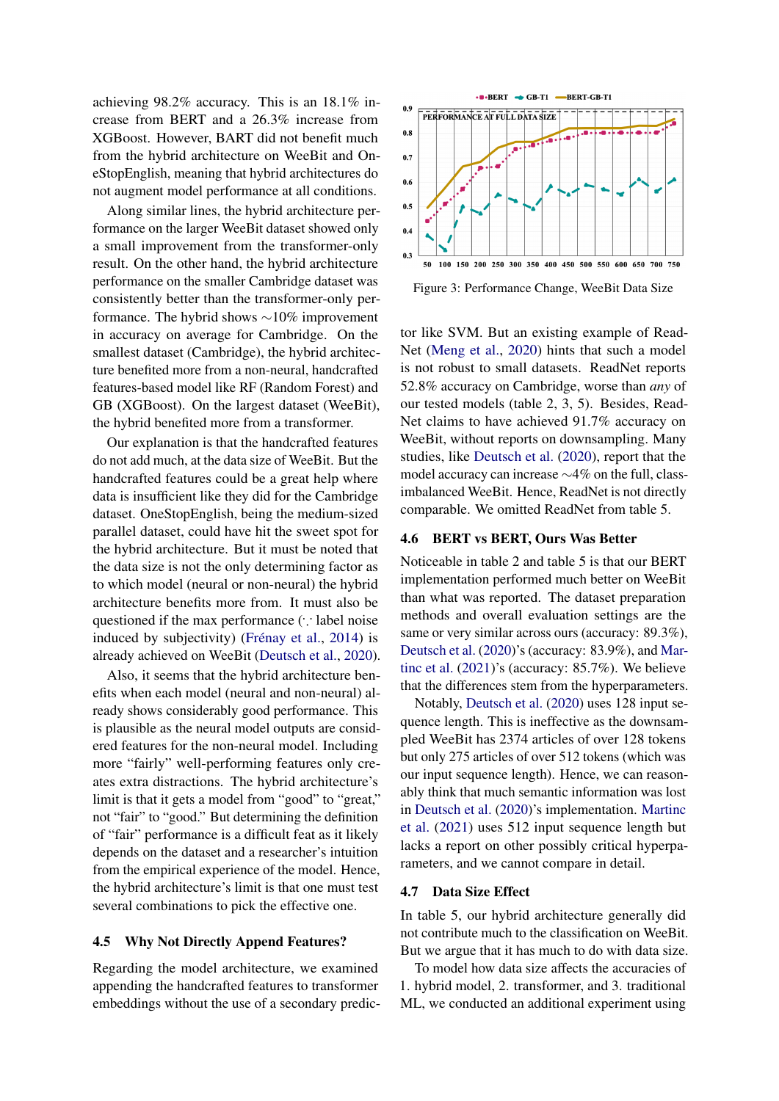achieving 98.2% accuracy. This is an 18.1% increase from BERT and a 26.3% increase from XGBoost. However, BART did not benefit much from the hybrid architecture on WeeBit and OneStopEnglish, meaning that hybrid architectures do not augment model performance at all conditions.

Along similar lines, the hybrid architecture performance on the larger WeeBit dataset showed only a small improvement from the transformer-only result. On the other hand, the hybrid architecture performance on the smaller Cambridge dataset was consistently better than the transformer-only performance. The hybrid shows ∼10% improvement in accuracy on average for Cambridge. On the smallest dataset (Cambridge), the hybrid architecture benefited more from a non-neural, handcrafted features-based model like RF (Random Forest) and GB (XGBoost). On the largest dataset (WeeBit), the hybrid benefited more from a transformer.

Our explanation is that the handcrafted features do not add much, at the data size of WeeBit. But the handcrafted features could be a great help where data is insufficient like they did for the Cambridge dataset. OneStopEnglish, being the medium-sized parallel dataset, could have hit the sweet spot for the hybrid architecture. But it must be noted that the data size is not the only determining factor as to which model (neural or non-neural) the hybrid architecture benefits more from. It must also be questioned if the max performance (∵ label noise induced by subjectivity) [\(Frénay et al.,](#page-10-18) [2014\)](#page-10-18) is already achieved on WeeBit [\(Deutsch et al.,](#page-9-5) [2020\)](#page-9-5).

Also, it seems that the hybrid architecture benefits when each model (neural and non-neural) already shows considerably good performance. This is plausible as the neural model outputs are considered features for the non-neural model. Including more "fairly" well-performing features only creates extra distractions. The hybrid architecture's limit is that it gets a model from "good" to "great," not "fair" to "good." But determining the definition of "fair" performance is a difficult feat as it likely depends on the dataset and a researcher's intuition from the empirical experience of the model. Hence, the hybrid architecture's limit is that one must test several combinations to pick the effective one.

#### 4.5 Why Not Directly Append Features?

Regarding the model architecture, we examined appending the handcrafted features to transformer embeddings without the use of a secondary predic-



Figure 3: Performance Change, WeeBit Data Size

tor like SVM. But an existing example of Read-Net [\(Meng et al.,](#page-11-22) [2020\)](#page-11-22) hints that such a model is not robust to small datasets. ReadNet reports 52.8% accuracy on Cambridge, worse than *any* of our tested models (table 2, 3, 5). Besides, Read-Net claims to have achieved 91.7% accuracy on WeeBit, without reports on downsampling. Many studies, like [Deutsch et al.](#page-9-5) [\(2020\)](#page-9-5), report that the model accuracy can increase ∼4% on the full, classimbalanced WeeBit. Hence, ReadNet is not directly comparable. We omitted ReadNet from table 5.

## 4.6 BERT vs BERT, Ours Was Better

Noticeable in table 2 and table 5 is that our BERT implementation performed much better on WeeBit than what was reported. The dataset preparation methods and overall evaluation settings are the same or very similar across ours (accuracy: 89.3%), [Deutsch et al.](#page-9-5) [\(2020\)](#page-9-5)'s (accuracy: 83.9%), and [Mar](#page-11-4)[tinc et al.](#page-11-4) [\(2021\)](#page-11-4)'s (accuracy: 85.7%). We believe that the differences stem from the hyperparameters.

Notably, [Deutsch et al.](#page-9-5) [\(2020\)](#page-9-5) uses 128 input sequence length. This is ineffective as the downsampled WeeBit has 2374 articles of over 128 tokens but only 275 articles of over 512 tokens (which was our input sequence length). Hence, we can reasonably think that much semantic information was lost in [Deutsch et al.](#page-9-5) [\(2020\)](#page-9-5)'s implementation. [Martinc](#page-11-4) [et al.](#page-11-4) [\(2021\)](#page-11-4) uses 512 input sequence length but lacks a report on other possibly critical hyperparameters, and we cannot compare in detail.

## 4.7 Data Size Effect

In table 5, our hybrid architecture generally did not contribute much to the classification on WeeBit. But we argue that it has much to do with data size.

To model how data size affects the accuracies of 1. hybrid model, 2. transformer, and 3. traditional ML, we conducted an additional experiment using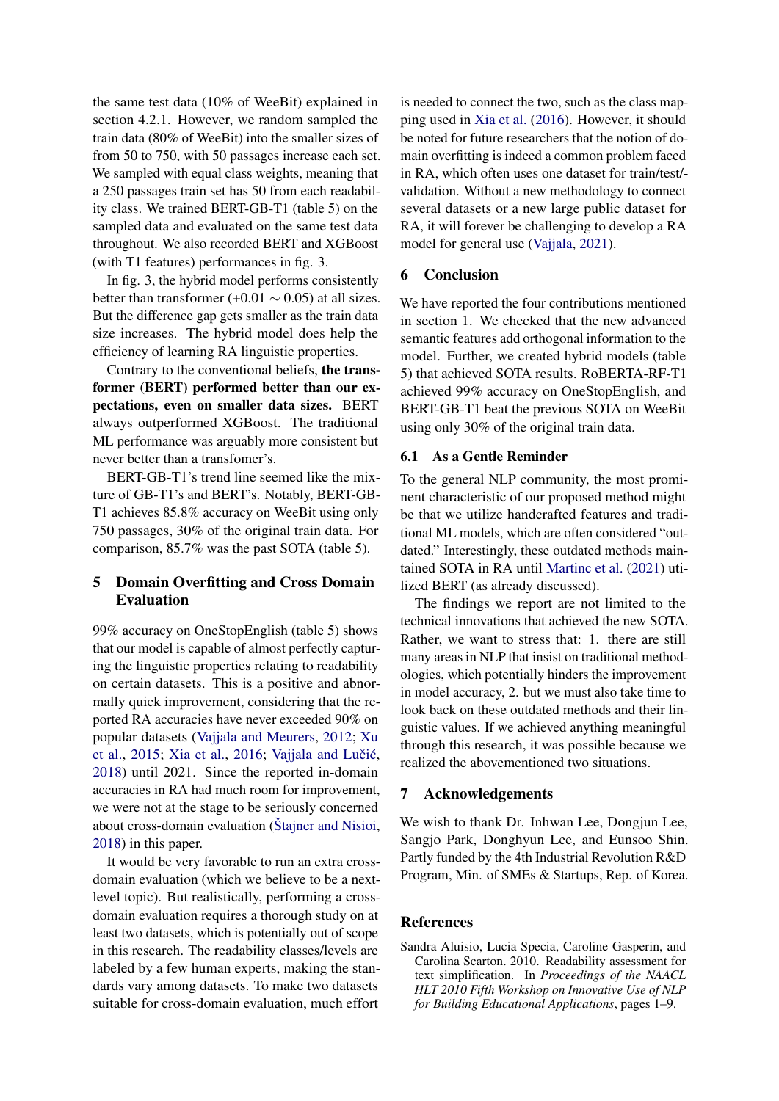the same test data (10% of WeeBit) explained in section 4.2.1. However, we random sampled the train data (80% of WeeBit) into the smaller sizes of from 50 to 750, with 50 passages increase each set. We sampled with equal class weights, meaning that a 250 passages train set has 50 from each readability class. We trained BERT-GB-T1 (table 5) on the sampled data and evaluated on the same test data throughout. We also recorded BERT and XGBoost (with T1 features) performances in fig. 3.

In fig. 3, the hybrid model performs consistently better than transformer (+0.01  $\sim$  0.05) at all sizes. But the difference gap gets smaller as the train data size increases. The hybrid model does help the efficiency of learning RA linguistic properties.

Contrary to the conventional beliefs, the transformer (BERT) performed better than our expectations, even on smaller data sizes. BERT always outperformed XGBoost. The traditional ML performance was arguably more consistent but never better than a transfomer's.

BERT-GB-T1's trend line seemed like the mixture of GB-T1's and BERT's. Notably, BERT-GB-T1 achieves 85.8% accuracy on WeeBit using only 750 passages, 30% of the original train data. For comparison, 85.7% was the past SOTA (table 5).

# 5 Domain Overfitting and Cross Domain Evaluation

99% accuracy on OneStopEnglish (table 5) shows that our model is capable of almost perfectly capturing the linguistic properties relating to readability on certain datasets. This is a positive and abnormally quick improvement, considering that the reported RA accuracies have never exceeded 90% on popular datasets [\(Vajjala and Meurers,](#page-12-2) [2012;](#page-12-2) [Xu](#page-12-10) [et al.,](#page-12-10) [2015;](#page-12-10) [Xia et al.,](#page-12-0) [2016;](#page-12-0) Vajjala and Lučić, [2018\)](#page-12-3) until 2021. Since the reported in-domain accuracies in RA had much room for improvement, we were not at the stage to be seriously concerned about cross-domain evaluation [\(Štajner and Nisioi,](#page-12-11) [2018\)](#page-12-11) in this paper.

It would be very favorable to run an extra crossdomain evaluation (which we believe to be a nextlevel topic). But realistically, performing a crossdomain evaluation requires a thorough study on at least two datasets, which is potentially out of scope in this research. The readability classes/levels are labeled by a few human experts, making the standards vary among datasets. To make two datasets suitable for cross-domain evaluation, much effort

is needed to connect the two, such as the class mapping used in [Xia et al.](#page-12-0) [\(2016\)](#page-12-0). However, it should be noted for future researchers that the notion of domain overfitting is indeed a common problem faced in RA, which often uses one dataset for train/test/ validation. Without a new methodology to connect several datasets or a new large public dataset for RA, it will forever be challenging to develop a RA model for general use [\(Vajjala,](#page-12-12) [2021\)](#page-12-12).

## 6 Conclusion

We have reported the four contributions mentioned in section 1. We checked that the new advanced semantic features add orthogonal information to the model. Further, we created hybrid models (table 5) that achieved SOTA results. RoBERTA-RF-T1 achieved 99% accuracy on OneStopEnglish, and BERT-GB-T1 beat the previous SOTA on WeeBit using only 30% of the original train data.

## 6.1 As a Gentle Reminder

To the general NLP community, the most prominent characteristic of our proposed method might be that we utilize handcrafted features and traditional ML models, which are often considered "outdated." Interestingly, these outdated methods maintained SOTA in RA until [Martinc et al.](#page-11-4) [\(2021\)](#page-11-4) utilized BERT (as already discussed).

The findings we report are not limited to the technical innovations that achieved the new SOTA. Rather, we want to stress that: 1. there are still many areas in NLP that insist on traditional methodologies, which potentially hinders the improvement in model accuracy, 2. but we must also take time to look back on these outdated methods and their linguistic values. If we achieved anything meaningful through this research, it was possible because we realized the abovementioned two situations.

#### 7 Acknowledgements

We wish to thank Dr. Inhwan Lee, Dongjun Lee, Sangjo Park, Donghyun Lee, and Eunsoo Shin. Partly funded by the 4th Industrial Revolution R&D Program, Min. of SMEs & Startups, Rep. of Korea.

## References

<span id="page-8-0"></span>Sandra Aluisio, Lucia Specia, Caroline Gasperin, and Carolina Scarton. 2010. Readability assessment for text simplification. In *Proceedings of the NAACL HLT 2010 Fifth Workshop on Innovative Use of NLP for Building Educational Applications*, pages 1–9.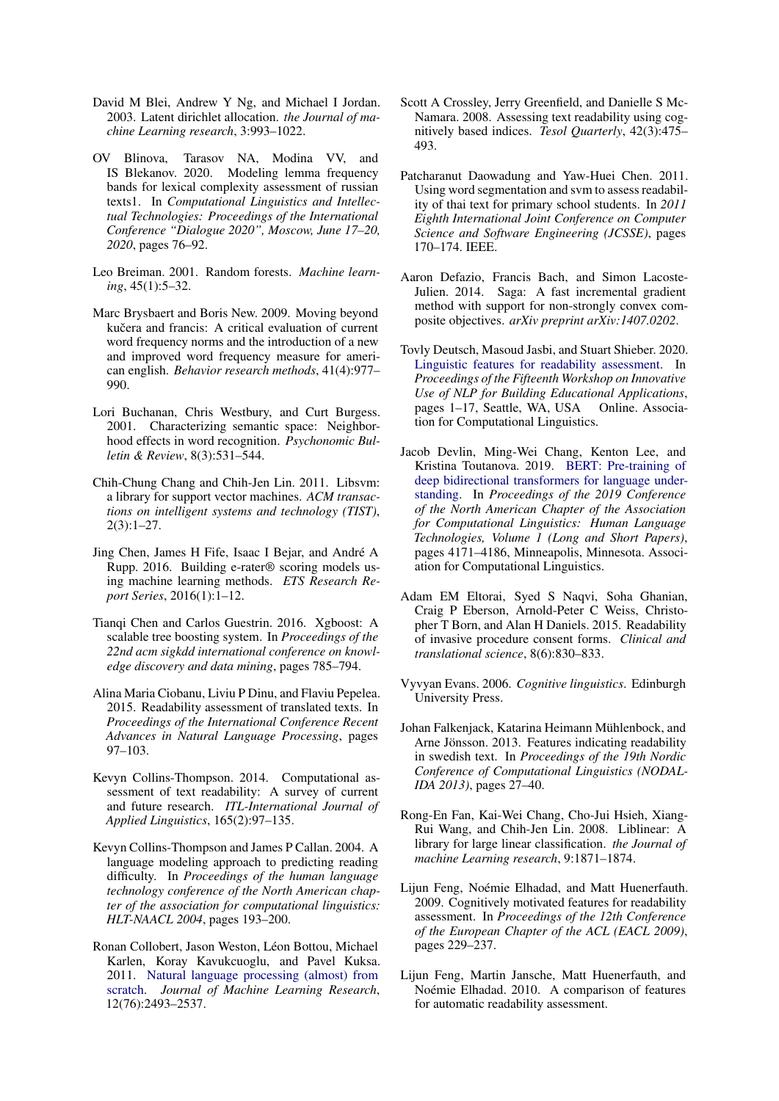- <span id="page-9-9"></span>David M Blei, Andrew Y Ng, and Michael I Jordan. 2003. Latent dirichlet allocation. *the Journal of machine Learning research*, 3:993–1022.
- <span id="page-9-17"></span>OV Blinova, Tarasov NA, Modina VV, and IS Blekanov. 2020. Modeling lemma frequency bands for lexical complexity assessment of russian texts1. In *Computational Linguistics and Intellectual Technologies: Proceedings of the International Conference "Dialogue 2020", Moscow, June 17–20, 2020*, pages 76–92.
- <span id="page-9-19"></span>Leo Breiman. 2001. Random forests. *Machine learning*, 45(1):5–32.
- <span id="page-9-11"></span>Marc Brysbaert and Boris New. 2009. Moving beyond kučera and francis: A critical evaluation of current word frequency norms and the introduction of a new and improved word frequency measure for american english. *Behavior research methods*, 41(4):977– 990.
- <span id="page-9-2"></span>Lori Buchanan, Chris Westbury, and Curt Burgess. 2001. Characterizing semantic space: Neighborhood effects in word recognition. *Psychonomic Bulletin & Review*, 8(3):531–544.
- <span id="page-9-18"></span>Chih-Chung Chang and Chih-Jen Lin. 2011. Libsvm: a library for support vector machines. *ACM transactions on intelligent systems and technology (TIST)*, 2(3):1–27.
- <span id="page-9-13"></span>Jing Chen, James H Fife, Isaac I Bejar, and André A Rupp. 2016. Building e-rater® scoring models using machine learning methods. *ETS Research Report Series*, 2016(1):1–12.
- <span id="page-9-14"></span>Tianqi Chen and Carlos Guestrin. 2016. Xgboost: A scalable tree boosting system. In *Proceedings of the 22nd acm sigkdd international conference on knowledge discovery and data mining*, pages 785–794.
- <span id="page-9-16"></span>Alina Maria Ciobanu, Liviu P Dinu, and Flaviu Pepelea. 2015. Readability assessment of translated texts. In *Proceedings of the International Conference Recent Advances in Natural Language Processing*, pages 97–103.
- <span id="page-9-1"></span>Kevyn Collins-Thompson. 2014. Computational assessment of text readability: A survey of current and future research. *ITL-International Journal of Applied Linguistics*, 165(2):97–135.
- <span id="page-9-6"></span>Kevyn Collins-Thompson and James P Callan. 2004. A language modeling approach to predicting reading difficulty. In *Proceedings of the human language technology conference of the North American chapter of the association for computational linguistics: HLT-NAACL 2004*, pages 193–200.
- <span id="page-9-4"></span>Ronan Collobert, Jason Weston, Léon Bottou, Michael Karlen, Koray Kavukcuoglu, and Pavel Kuksa. 2011. [Natural language processing \(almost\) from](http://jmlr.org/papers/v12/collobert11a.html) [scratch.](http://jmlr.org/papers/v12/collobert11a.html) *Journal of Machine Learning Research*, 12(76):2493–2537.
- <span id="page-9-7"></span>Scott A Crossley, Jerry Greenfield, and Danielle S Mc-Namara. 2008. Assessing text readability using cognitively based indices. *Tesol Quarterly*, 42(3):475– 493.
- <span id="page-9-15"></span>Patcharanut Daowadung and Yaw-Huei Chen. 2011. Using word segmentation and svm to assess readability of thai text for primary school students. In *2011 Eighth International Joint Conference on Computer Science and Software Engineering (JCSSE)*, pages 170–174. IEEE.
- <span id="page-9-21"></span>Aaron Defazio, Francis Bach, and Simon Lacoste-Julien. 2014. Saga: A fast incremental gradient method with support for non-strongly convex composite objectives. *arXiv preprint arXiv:1407.0202*.
- <span id="page-9-5"></span>Tovly Deutsch, Masoud Jasbi, and Stuart Shieber. 2020. [Linguistic features for readability assessment.](https://doi.org/10.18653/v1/2020.bea-1.1) In *Proceedings of the Fifteenth Workshop on Innovative Use of NLP for Building Educational Applications*, pages 1–17, Seattle, WA, USA Online. Association for Computational Linguistics.
- <span id="page-9-3"></span>Jacob Devlin, Ming-Wei Chang, Kenton Lee, and Kristina Toutanova. 2019. [BERT: Pre-training of](https://doi.org/10.18653/v1/N19-1423) [deep bidirectional transformers for language under](https://doi.org/10.18653/v1/N19-1423)[standing.](https://doi.org/10.18653/v1/N19-1423) In *Proceedings of the 2019 Conference of the North American Chapter of the Association for Computational Linguistics: Human Language Technologies, Volume 1 (Long and Short Papers)*, pages 4171–4186, Minneapolis, Minnesota. Association for Computational Linguistics.
- <span id="page-9-12"></span>Adam EM Eltorai, Syed S Naqvi, Soha Ghanian, Craig P Eberson, Arnold-Peter C Weiss, Christopher T Born, and Alan H Daniels. 2015. Readability of invasive procedure consent forms. *Clinical and translational science*, 8(6):830–833.
- <span id="page-9-8"></span>Vyvyan Evans. 2006. *Cognitive linguistics*. Edinburgh University Press.
- <span id="page-9-22"></span>Johan Falkenjack, Katarina Heimann Mühlenbock, and Arne Jönsson. 2013. Features indicating readability in swedish text. In *Proceedings of the 19th Nordic Conference of Computational Linguistics (NODAL-IDA 2013)*, pages 27–40.
- <span id="page-9-20"></span>Rong-En Fan, Kai-Wei Chang, Cho-Jui Hsieh, Xiang-Rui Wang, and Chih-Jen Lin. 2008. Liblinear: A library for large linear classification. *the Journal of machine Learning research*, 9:1871–1874.
- <span id="page-9-10"></span>Lijun Feng, Noémie Elhadad, and Matt Huenerfauth. 2009. Cognitively motivated features for readability assessment. In *Proceedings of the 12th Conference of the European Chapter of the ACL (EACL 2009)*, pages 229–237.
- <span id="page-9-0"></span>Lijun Feng, Martin Jansche, Matt Huenerfauth, and Noémie Elhadad. 2010. A comparison of features for automatic readability assessment.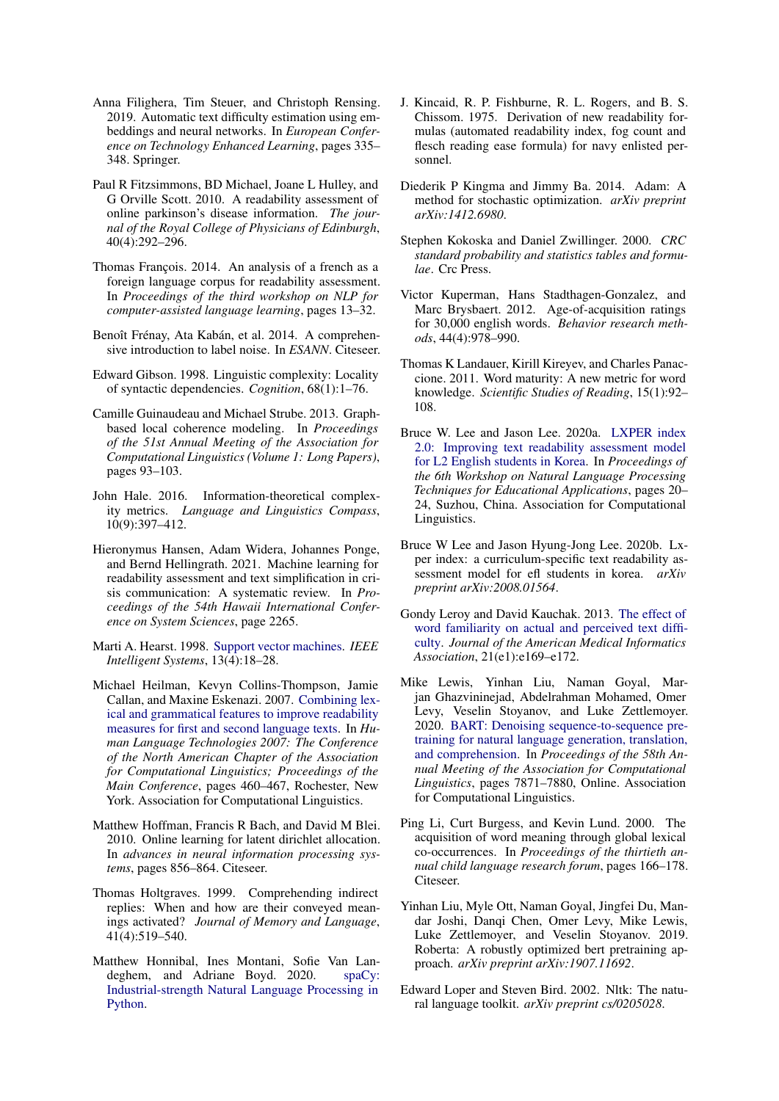- <span id="page-10-1"></span>Anna Filighera, Tim Steuer, and Christoph Rensing. 2019. Automatic text difficulty estimation using embeddings and neural networks. In *European Conference on Technology Enhanced Learning*, pages 335– 348. Springer.
- <span id="page-10-19"></span>Paul R Fitzsimmons, BD Michael, Joane L Hulley, and G Orville Scott. 2010. A readability assessment of online parkinson's disease information. *The journal of the Royal College of Physicians of Edinburgh*, 40(4):292–296.
- <span id="page-10-24"></span>Thomas François. 2014. An analysis of a french as a foreign language corpus for readability assessment. In *Proceedings of the third workshop on NLP for computer-assisted language learning*, pages 13–32.
- <span id="page-10-18"></span>Benoît Frénay, Ata Kabán, et al. 2014. A comprehensive introduction to label noise. In *ESANN*. Citeseer.
- <span id="page-10-10"></span>Edward Gibson. 1998. Linguistic complexity: Locality of syntactic dependencies. *Cognition*, 68(1):1–76.
- <span id="page-10-9"></span>Camille Guinaudeau and Michael Strube. 2013. Graphbased local coherence modeling. In *Proceedings of the 51st Annual Meeting of the Association for Computational Linguistics (Volume 1: Long Papers)*, pages 93–103.
- <span id="page-10-11"></span>John Hale. 2016. Information-theoretical complexity metrics. *Language and Linguistics Compass*, 10(9):397–412.
- <span id="page-10-0"></span>Hieronymus Hansen, Adam Widera, Johannes Ponge, and Bernd Hellingrath. 2021. Machine learning for readability assessment and text simplification in crisis communication: A systematic review. In *Proceedings of the 54th Hawaii International Conference on System Sciences*, page 2265.
- <span id="page-10-22"></span>Marti A. Hearst. 1998. [Support vector machines.](https://doi.org/10.1109/5254.708428) *IEEE Intelligent Systems*, 13(4):18–28.
- <span id="page-10-2"></span>Michael Heilman, Kevyn Collins-Thompson, Jamie Callan, and Maxine Eskenazi. 2007. [Combining lex](https://www.aclweb.org/anthology/N07-1058)[ical and grammatical features to improve readability](https://www.aclweb.org/anthology/N07-1058) [measures for first and second language texts.](https://www.aclweb.org/anthology/N07-1058) In *Human Language Technologies 2007: The Conference of the North American Chapter of the Association for Computational Linguistics; Proceedings of the Main Conference*, pages 460–467, Rochester, New York. Association for Computational Linguistics.
- <span id="page-10-8"></span>Matthew Hoffman, Francis R Bach, and David M Blei. 2010. Online learning for latent dirichlet allocation. In *advances in neural information processing systems*, pages 856–864. Citeseer.
- <span id="page-10-5"></span>Thomas Holtgraves. 1999. Comprehending indirect replies: When and how are their conveyed meanings activated? *Journal of Memory and Language*, 41(4):519–540.
- <span id="page-10-21"></span>Matthew Honnibal, Ines Montani, Sofie Van Landeghem, and Adriane Boyd. 2020. [spaCy:](https://doi.org/10.5281/zenodo.1212303) [Industrial-strength Natural Language Processing in](https://doi.org/10.5281/zenodo.1212303) [Python.](https://doi.org/10.5281/zenodo.1212303)
- <span id="page-10-15"></span>J. Kincaid, R. P. Fishburne, R. L. Rogers, and B. S. Chissom. 1975. Derivation of new readability formulas (automated readability index, fog count and flesch reading ease formula) for navy enlisted personnel.
- <span id="page-10-23"></span>Diederik P Kingma and Jimmy Ba. 2014. Adam: A method for stochastic optimization. *arXiv preprint arXiv:1412.6980*.
- <span id="page-10-7"></span>Stephen Kokoska and Daniel Zwillinger. 2000. *CRC standard probability and statistics tables and formulae*. Crc Press.
- <span id="page-10-14"></span>Victor Kuperman, Hans Stadthagen-Gonzalez, and Marc Brysbaert. 2012. Age-of-acquisition ratings for 30,000 english words. *Behavior research methods*, 44(4):978–990.
- <span id="page-10-3"></span>Thomas K Landauer, Kirill Kireyev, and Charles Panaccione. 2011. Word maturity: A new metric for word knowledge. *Scientific Studies of Reading*, 15(1):92– 108.
- <span id="page-10-13"></span>Bruce W. Lee and Jason Lee. 2020a. [LXPER index](https://www.aclweb.org/anthology/2020.nlptea-1.3) [2.0: Improving text readability assessment model](https://www.aclweb.org/anthology/2020.nlptea-1.3) [for L2 English students in Korea.](https://www.aclweb.org/anthology/2020.nlptea-1.3) In *Proceedings of the 6th Workshop on Natural Language Processing Techniques for Educational Applications*, pages 20– 24, Suzhou, China. Association for Computational Linguistics.
- <span id="page-10-20"></span>Bruce W Lee and Jason Hyung-Jong Lee. 2020b. Lxper index: a curriculum-specific text readability assessment model for efl students in korea. *arXiv preprint arXiv:2008.01564*.
- <span id="page-10-4"></span>Gondy Leroy and David Kauchak. 2013. [The effect of](https://doi.org/10.1136/amiajnl-2013-002172) [word familiarity on actual and perceived text diffi](https://doi.org/10.1136/amiajnl-2013-002172)[culty.](https://doi.org/10.1136/amiajnl-2013-002172) *Journal of the American Medical Informatics Association*, 21(e1):e169–e172.
- <span id="page-10-17"></span>Mike Lewis, Yinhan Liu, Naman Goyal, Marjan Ghazvininejad, Abdelrahman Mohamed, Omer Levy, Veselin Stoyanov, and Luke Zettlemoyer. 2020. [BART: Denoising sequence-to-sequence pre](https://doi.org/10.18653/v1/2020.acl-main.703)[training for natural language generation, translation,](https://doi.org/10.18653/v1/2020.acl-main.703) [and comprehension.](https://doi.org/10.18653/v1/2020.acl-main.703) In *Proceedings of the 58th Annual Meeting of the Association for Computational Linguistics*, pages 7871–7880, Online. Association for Computational Linguistics.
- <span id="page-10-6"></span>Ping Li, Curt Burgess, and Kevin Lund. 2000. The acquisition of word meaning through global lexical co-occurrences. In *Proceedings of the thirtieth annual child language research forum*, pages 166–178. Citeseer.
- <span id="page-10-16"></span>Yinhan Liu, Myle Ott, Naman Goyal, Jingfei Du, Mandar Joshi, Danqi Chen, Omer Levy, Mike Lewis, Luke Zettlemoyer, and Veselin Stoyanov. 2019. Roberta: A robustly optimized bert pretraining approach. *arXiv preprint arXiv:1907.11692*.
- <span id="page-10-12"></span>Edward Loper and Steven Bird. 2002. Nltk: The natural language toolkit. *arXiv preprint cs/0205028*.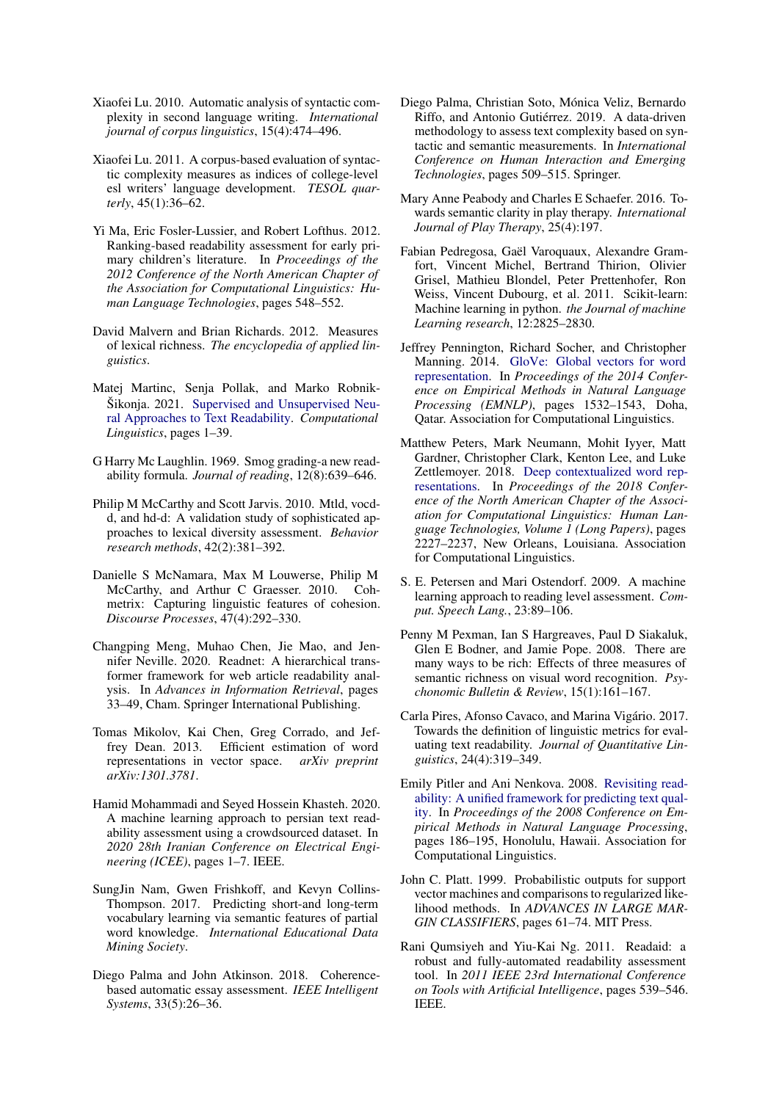- <span id="page-11-15"></span>Xiaofei Lu. 2010. Automatic analysis of syntactic complexity in second language writing. *International journal of corpus linguistics*, 15(4):474–496.
- <span id="page-11-5"></span>Xiaofei Lu. 2011. A corpus-based evaluation of syntactic complexity measures as indices of college-level esl writers' language development. *TESOL quarterly*, 45(1):36–62.
- <span id="page-11-20"></span>Yi Ma, Eric Fosler-Lussier, and Robert Lofthus. 2012. Ranking-based readability assessment for early primary children's literature. In *Proceedings of the 2012 Conference of the North American Chapter of the Association for Computational Linguistics: Human Language Technologies*, pages 548–552.
- <span id="page-11-6"></span>David Malvern and Brian Richards. 2012. Measures of lexical richness. *The encyclopedia of applied linguistics*.
- <span id="page-11-4"></span>Matej Martinc, Senja Pollak, and Marko Robnik-Šikonja. 2021. [Supervised and Unsupervised Neu](https://doi.org/10.1162/coli_a_00398)[ral Approaches to Text Readability.](https://doi.org/10.1162/coli_a_00398) *Computational Linguistics*, pages 1–39.
- <span id="page-11-17"></span>G Harry Mc Laughlin. 1969. Smog grading-a new readability formula. *Journal of reading*, 12(8):639–646.
- <span id="page-11-16"></span>Philip M McCarthy and Scott Jarvis. 2010. Mtld, vocdd, and hd-d: A validation study of sophisticated approaches to lexical diversity assessment. *Behavior research methods*, 42(2):381–392.
- <span id="page-11-8"></span>Danielle S McNamara, Max M Louwerse, Philip M McCarthy, and Arthur C Graesser. 2010. Cohmetrix: Capturing linguistic features of cohesion. *Discourse Processes*, 47(4):292–330.
- <span id="page-11-22"></span>Changping Meng, Muhao Chen, Jie Mao, and Jennifer Neville. 2020. Readnet: A hierarchical transformer framework for web article readability analysis. In *Advances in Information Retrieval*, pages 33–49, Cham. Springer International Publishing.
- <span id="page-11-2"></span>Tomas Mikolov, Kai Chen, Greg Corrado, and Jeffrey Dean. 2013. Efficient estimation of word representations in vector space. *arXiv preprint arXiv:1301.3781*.
- <span id="page-11-21"></span>Hamid Mohammadi and Seyed Hossein Khasteh. 2020. A machine learning approach to persian text readability assessment using a crowdsourced dataset. In *2020 28th Iranian Conference on Electrical Engineering (ICEE)*, pages 1–7. IEEE.
- <span id="page-11-9"></span>SungJin Nam, Gwen Frishkoff, and Kevyn Collins-Thompson. 2017. Predicting short-and long-term vocabulary learning via semantic features of partial word knowledge. *International Educational Data Mining Society*.
- <span id="page-11-14"></span>Diego Palma and John Atkinson. 2018. Coherencebased automatic essay assessment. *IEEE Intelligent Systems*, 33(5):26–36.
- <span id="page-11-18"></span>Diego Palma, Christian Soto, Mónica Veliz, Bernardo Riffo, and Antonio Gutiérrez. 2019. A data-driven methodology to assess text complexity based on syntactic and semantic measurements. In *International Conference on Human Interaction and Emerging Technologies*, pages 509–515. Springer.
- <span id="page-11-12"></span>Mary Anne Peabody and Charles E Schaefer. 2016. Towards semantic clarity in play therapy. *International Journal of Play Therapy*, 25(4):197.
- <span id="page-11-19"></span>Fabian Pedregosa, Gaël Varoquaux, Alexandre Gramfort, Vincent Michel, Bertrand Thirion, Olivier Grisel, Mathieu Blondel, Peter Prettenhofer, Ron Weiss, Vincent Dubourg, et al. 2011. Scikit-learn: Machine learning in python. *the Journal of machine Learning research*, 12:2825–2830.
- <span id="page-11-3"></span>Jeffrey Pennington, Richard Socher, and Christopher Manning. 2014. [GloVe: Global vectors for word](https://doi.org/10.3115/v1/D14-1162) [representation.](https://doi.org/10.3115/v1/D14-1162) In *Proceedings of the 2014 Conference on Empirical Methods in Natural Language Processing (EMNLP)*, pages 1532–1543, Doha, Qatar. Association for Computational Linguistics.
- <span id="page-11-1"></span>Matthew Peters, Mark Neumann, Mohit Iyyer, Matt Gardner, Christopher Clark, Kenton Lee, and Luke Zettlemoyer. 2018. [Deep contextualized word rep](https://doi.org/10.18653/v1/N18-1202)[resentations.](https://doi.org/10.18653/v1/N18-1202) In *Proceedings of the 2018 Conference of the North American Chapter of the Association for Computational Linguistics: Human Language Technologies, Volume 1 (Long Papers)*, pages 2227–2237, New Orleans, Louisiana. Association for Computational Linguistics.
- <span id="page-11-7"></span>S. E. Petersen and Mari Ostendorf. 2009. A machine learning approach to reading level assessment. *Comput. Speech Lang.*, 23:89–106.
- <span id="page-11-11"></span>Penny M Pexman, Ian S Hargreaves, Paul D Siakaluk, Glen E Bodner, and Jamie Pope. 2008. There are many ways to be rich: Effects of three measures of semantic richness on visual word recognition. *Psychonomic Bulletin & Review*, 15(1):161–167.
- <span id="page-11-13"></span>Carla Pires, Afonso Cavaco, and Marina Vigário. 2017. Towards the definition of linguistic metrics for evaluating text readability. *Journal of Quantitative Linguistics*, 24(4):319–349.
- <span id="page-11-0"></span>Emily Pitler and Ani Nenkova. 2008. [Revisiting read](https://www.aclweb.org/anthology/D08-1020)[ability: A unified framework for predicting text qual](https://www.aclweb.org/anthology/D08-1020)[ity.](https://www.aclweb.org/anthology/D08-1020) In *Proceedings of the 2008 Conference on Empirical Methods in Natural Language Processing*, pages 186–195, Honolulu, Hawaii. Association for Computational Linguistics.
- <span id="page-11-23"></span>John C. Platt. 1999. Probabilistic outputs for support vector machines and comparisons to regularized likelihood methods. In *ADVANCES IN LARGE MAR-GIN CLASSIFIERS*, pages 61–74. MIT Press.
- <span id="page-11-10"></span>Rani Qumsiyeh and Yiu-Kai Ng. 2011. Readaid: a robust and fully-automated readability assessment tool. In *2011 IEEE 23rd International Conference on Tools with Artificial Intelligence*, pages 539–546. IEEE.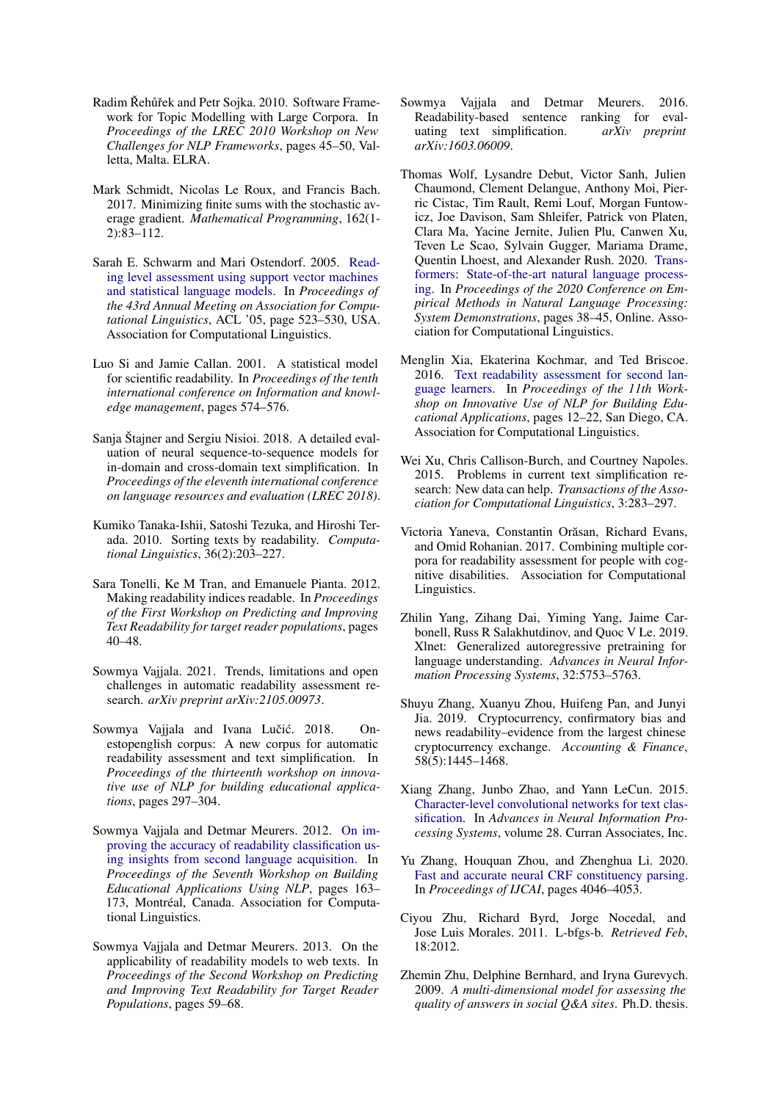- <span id="page-12-17"></span>Radim Řehůřek and Petr Sojka. 2010. Software Framework for Topic Modelling with Large Corpora. In *Proceedings of the LREC 2010 Workshop on New Challenges for NLP Frameworks*, pages 45–50, Valletta, Malta. ELRA.
- <span id="page-12-21"></span>Mark Schmidt, Nicolas Le Roux, and Francis Bach. 2017. Minimizing finite sums with the stochastic average gradient. *Mathematical Programming*, 162(1- 2):83–112.
- <span id="page-12-4"></span>Sarah E. Schwarm and Mari Ostendorf. 2005. [Read](https://doi.org/10.3115/1219840.1219905)[ing level assessment using support vector machines](https://doi.org/10.3115/1219840.1219905) [and statistical language models.](https://doi.org/10.3115/1219840.1219905) In *Proceedings of the 43rd Annual Meeting on Association for Computational Linguistics*, ACL '05, page 523–530, USA. Association for Computational Linguistics.
- <span id="page-12-7"></span>Luo Si and Jamie Callan. 2001. A statistical model for scientific readability. In *Proceedings of the tenth international conference on Information and knowledge management*, pages 574–576.
- <span id="page-12-11"></span>Sanja Štajner and Sergiu Nisioi. 2018. A detailed evaluation of neural sequence-to-sequence models for in-domain and cross-domain text simplification. In *Proceedings of the eleventh international conference on language resources and evaluation (LREC 2018)*.
- <span id="page-12-14"></span>Kumiko Tanaka-Ishii, Satoshi Tezuka, and Hiroshi Terada. 2010. Sorting texts by readability. *Computational Linguistics*, 36(2):203–227.
- <span id="page-12-5"></span>Sara Tonelli, Ke M Tran, and Emanuele Pianta. 2012. Making readability indices readable. In *Proceedings of the First Workshop on Predicting and Improving Text Readability for target reader populations*, pages 40–48.
- <span id="page-12-12"></span>Sowmya Vajjala. 2021. Trends, limitations and open challenges in automatic readability assessment research. *arXiv preprint arXiv:2105.00973*.
- <span id="page-12-3"></span>Sowmya Vajjala and Ivana Lučić. 2018. Onestopenglish corpus: A new corpus for automatic readability assessment and text simplification. In *Proceedings of the thirteenth workshop on innovative use of NLP for building educational applications*, pages 297–304.
- <span id="page-12-2"></span>Sowmya Vajjala and Detmar Meurers. 2012. [On im](https://www.aclweb.org/anthology/W12-2019)[proving the accuracy of readability classification us](https://www.aclweb.org/anthology/W12-2019)[ing insights from second language acquisition.](https://www.aclweb.org/anthology/W12-2019) In *Proceedings of the Seventh Workshop on Building Educational Applications Using NLP*, pages 163– 173, Montréal, Canada. Association for Computational Linguistics.
- <span id="page-12-15"></span>Sowmya Vajjala and Detmar Meurers. 2013. On the applicability of readability models to web texts. In *Proceedings of the Second Workshop on Predicting and Improving Text Readability for Target Reader Populations*, pages 59–68.
- <span id="page-12-6"></span>Sowmya Vajjala and Detmar Meurers. 2016. Readability-based sentence ranking for evaluating text simplification. *arXiv preprint arXiv:1603.06009*.
- <span id="page-12-19"></span>Thomas Wolf, Lysandre Debut, Victor Sanh, Julien Chaumond, Clement Delangue, Anthony Moi, Pierric Cistac, Tim Rault, Remi Louf, Morgan Funtowicz, Joe Davison, Sam Shleifer, Patrick von Platen, Clara Ma, Yacine Jernite, Julien Plu, Canwen Xu, Teven Le Scao, Sylvain Gugger, Mariama Drame, Quentin Lhoest, and Alexander Rush. 2020. [Trans](https://doi.org/10.18653/v1/2020.emnlp-demos.6)[formers: State-of-the-art natural language process](https://doi.org/10.18653/v1/2020.emnlp-demos.6)[ing.](https://doi.org/10.18653/v1/2020.emnlp-demos.6) In *Proceedings of the 2020 Conference on Empirical Methods in Natural Language Processing: System Demonstrations*, pages 38–45, Online. Association for Computational Linguistics.
- <span id="page-12-0"></span>Menglin Xia, Ekaterina Kochmar, and Ted Briscoe. 2016. [Text readability assessment for second lan](https://doi.org/10.18653/v1/W16-0502)[guage learners.](https://doi.org/10.18653/v1/W16-0502) In *Proceedings of the 11th Workshop on Innovative Use of NLP for Building Educational Applications*, pages 12–22, San Diego, CA. Association for Computational Linguistics.
- <span id="page-12-10"></span>Wei Xu, Chris Callison-Burch, and Courtney Napoles. 2015. Problems in current text simplification research: New data can help. *Transactions of the Association for Computational Linguistics*, 3:283–297.
- <span id="page-12-9"></span>Victoria Yaneva, Constantin Orăsan, Richard Evans, and Omid Rohanian. 2017. Combining multiple corpora for readability assessment for people with cognitive disabilities. Association for Computational Linguistics.
- <span id="page-12-8"></span>Zhilin Yang, Zihang Dai, Yiming Yang, Jaime Carbonell, Russ R Salakhutdinov, and Quoc V Le. 2019. Xlnet: Generalized autoregressive pretraining for language understanding. *Advances in Neural Information Processing Systems*, 32:5753–5763.
- <span id="page-12-16"></span>Shuyu Zhang, Xuanyu Zhou, Huifeng Pan, and Junyi Jia. 2019. Cryptocurrency, confirmatory bias and news readability–evidence from the largest chinese cryptocurrency exchange. *Accounting & Finance*, 58(5):1445–1468.
- <span id="page-12-1"></span>Xiang Zhang, Junbo Zhao, and Yann LeCun. 2015. [Character-level convolutional networks for text clas](https://proceedings.neurips.cc/paper/2015/file/250cf8b51c773f3f8dc8b4be867a9a02-Paper.pdf)[sification.](https://proceedings.neurips.cc/paper/2015/file/250cf8b51c773f3f8dc8b4be867a9a02-Paper.pdf) In *Advances in Neural Information Processing Systems*, volume 28. Curran Associates, Inc.
- <span id="page-12-18"></span>Yu Zhang, Houquan Zhou, and Zhenghua Li. 2020. [Fast and accurate neural CRF constituency parsing.](https://doi.org/10.24963/ijcai.2020/560) In *Proceedings of IJCAI*, pages 4046–4053.
- <span id="page-12-20"></span>Ciyou Zhu, Richard Byrd, Jorge Nocedal, and Jose Luis Morales. 2011. L-bfgs-b. *Retrieved Feb*, 18:2012.
- <span id="page-12-13"></span>Zhemin Zhu, Delphine Bernhard, and Iryna Gurevych. 2009. *A multi-dimensional model for assessing the quality of answers in social Q&A sites*. Ph.D. thesis.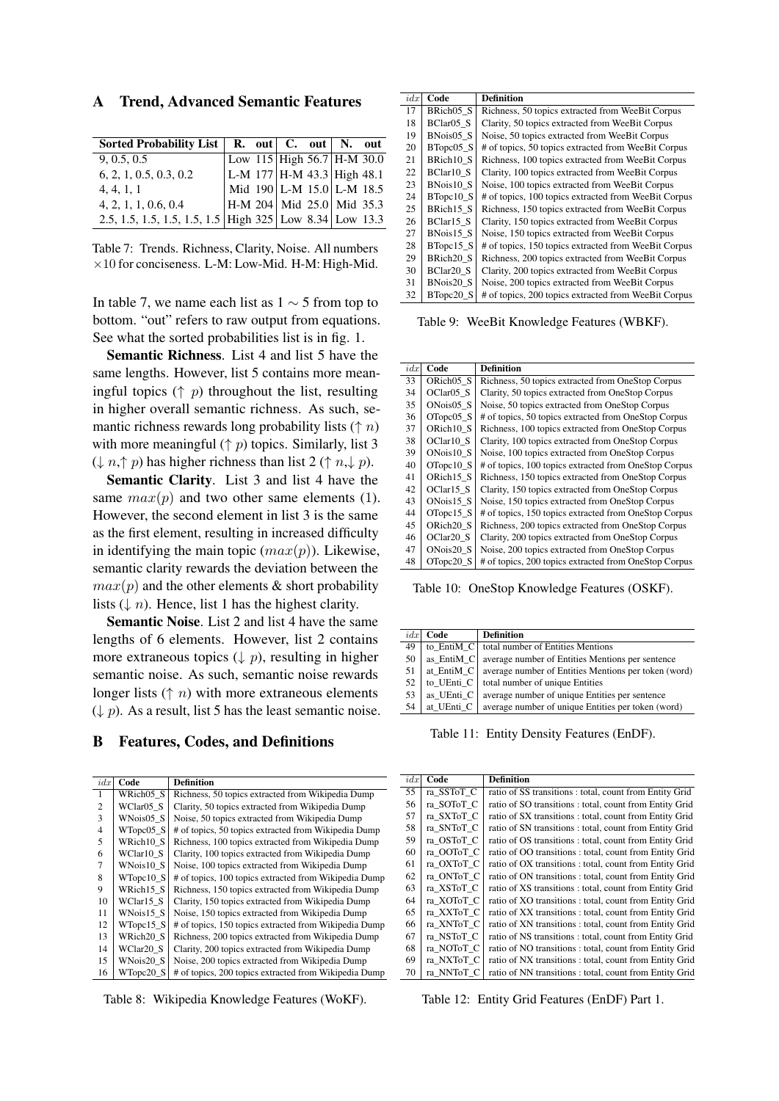A Trend, Advanced Semantic Features

| Sorted Probability List $\parallel$ R. out $\parallel$ C. out $\parallel$ N. out |  |                                   |  |  |
|----------------------------------------------------------------------------------|--|-----------------------------------|--|--|
| 9, 0.5, 0.5                                                                      |  | Low 115 High 56.7 H-M 30.0        |  |  |
| 6, 2, 1, 0.5, 0.3, 0.2                                                           |  | L-M 177 H-M 43.3 High 48.1        |  |  |
| 4, 4, 1, 1                                                                       |  | Mid 190 L-M 15.0 L-M 18.5         |  |  |
| 4, 2, 1, 1, 0.6, 0.4                                                             |  | $ $ H-M 204   Mid 25.0   Mid 35.3 |  |  |
| 2.5, 1.5, 1.5, 1.5, 1.5, 1.5 High 325 Low 8.34 Low 13.3                          |  |                                   |  |  |

Table 7: Trends. Richness, Clarity, Noise. All numbers  $\times$ 10 for conciseness. L-M: Low-Mid. H-M: High-Mid.

In table 7, we name each list as  $1 \sim 5$  from top to bottom. "out" refers to raw output from equations. See what the sorted probabilities list is in fig. 1.

Semantic Richness. List 4 and list 5 have the same lengths. However, list 5 contains more meaningful topics  $(\uparrow p)$  throughout the list, resulting in higher overall semantic richness. As such, semantic richness rewards long probability lists ( $\uparrow$  n) with more meaningful ( $\uparrow$  p) topics. Similarly, list 3  $(\downarrow n, \uparrow p)$  has higher richness than list 2 ( $\uparrow n, \downarrow p$ ).

Semantic Clarity. List 3 and list 4 have the same  $max(p)$  and two other same elements (1). However, the second element in list 3 is the same as the first element, resulting in increased difficulty in identifying the main topic  $(max(p))$ . Likewise, semantic clarity rewards the deviation between the  $max(p)$  and the other elements & short probability lists  $(1/n)$ . Hence, list 1 has the highest clarity.

Semantic Noise. List 2 and list 4 have the same lengths of 6 elements. However, list 2 contains more extraneous topics  $( \downarrow p)$ , resulting in higher semantic noise. As such, semantic noise rewards longer lists  $(\uparrow n)$  with more extraneous elements  $(\downarrow p)$ . As a result, list 5 has the least semantic noise.

### B Features, Codes, and Definitions

| idx | Code      | <b>Definition</b>                                     |
|-----|-----------|-------------------------------------------------------|
|     | WRich05 S | Richness, 50 topics extracted from Wikipedia Dump     |
| 2   | WClar05 S | Clarity, 50 topics extracted from Wikipedia Dump      |
| 3   | WNois05 S | Noise, 50 topics extracted from Wikipedia Dump        |
| 4   | WTopc05_S | # of topics, 50 topics extracted from Wikipedia Dump  |
| 5   | WRich10 S | Richness, 100 topics extracted from Wikipedia Dump    |
| 6   | WClar10 S | Clarity, 100 topics extracted from Wikipedia Dump     |
| 7   | WNois10 S | Noise, 100 topics extracted from Wikipedia Dump       |
| 8   | WTopc10 S | # of topics, 100 topics extracted from Wikipedia Dump |
| 9   | WRich15 S | Richness, 150 topics extracted from Wikipedia Dump    |
| 10  | WClar15 S | Clarity, 150 topics extracted from Wikipedia Dump     |
| 11  | WNois15 S | Noise, 150 topics extracted from Wikipedia Dump       |
| 12  | WTopc15 S | # of topics, 150 topics extracted from Wikipedia Dump |
| 13  | WRich20 S | Richness, 200 topics extracted from Wikipedia Dump    |
| 14  | WClar20 S | Clarity, 200 topics extracted from Wikipedia Dump     |
| 15  | WNois20 S | Noise, 200 topics extracted from Wikipedia Dump       |
| 16  | WTopc20 S | # of topics, 200 topics extracted from Wikipedia Dump |

Table 8: Wikipedia Knowledge Features (WoKF).

| idx | Code                  | <b>Definition</b>                                    |
|-----|-----------------------|------------------------------------------------------|
| 17  | BRich05 <sub>S</sub>  | Richness, 50 topics extracted from WeeBit Corpus     |
| 18  | BClar05 S             | Clarity, 50 topics extracted from WeeBit Corpus      |
| 19  | BNois05 S             | Noise, 50 topics extracted from WeeBit Corpus        |
| 20  | BTopc05 S             | # of topics, 50 topics extracted from WeeBit Corpus  |
| 21  | BRich10 <sub>S</sub>  | Richness, 100 topics extracted from WeeBit Corpus    |
| 22  | BClar <sub>10</sub> S | Clarity, 100 topics extracted from WeeBit Corpus     |
| 23  | BNois10 S             | Noise, 100 topics extracted from WeeBit Corpus       |
| 24  | BTopc10 S             | # of topics, 100 topics extracted from WeeBit Corpus |
| 25  | BRich15 <sub>S</sub>  | Richness, 150 topics extracted from WeeBit Corpus    |
| 26  | $BCIar15_S$           | Clarity, 150 topics extracted from WeeBit Corpus     |
| 27  | BNois15 S             | Noise, 150 topics extracted from WeeBit Corpus       |
| 28  | BTopc15 S             | # of topics, 150 topics extracted from WeeBit Corpus |
| 29  | BRich20 <sub>S</sub>  | Richness, 200 topics extracted from WeeBit Corpus    |
| 30  | BClar <sub>20</sub> S | Clarity, 200 topics extracted from WeeBit Corpus     |
| 31  | BNois20 S             | Noise, 200 topics extracted from WeeBit Corpus       |
| 32  | BTopc20 S             | # of topics, 200 topics extracted from WeeBit Corpus |

Table 9: WeeBit Knowledge Features (WBKF).

| idx | Code                  | <b>Definition</b>                                     |
|-----|-----------------------|-------------------------------------------------------|
| 33  | ORich05 S             | Richness, 50 topics extracted from OneStop Corpus     |
| 34  | OClar <sub>05</sub> S | Clarity, 50 topics extracted from OneStop Corpus      |
| 35  | ONois05 S             | Noise, 50 topics extracted from OneStop Corpus        |
| 36  | OTopc05 S             | # of topics, 50 topics extracted from OneStop Corpus  |
| 37  | ORich10 S             | Richness, 100 topics extracted from OneStop Corpus    |
| 38  | OClar10 S             | Clarity, 100 topics extracted from OneStop Corpus     |
| 39  | ONois10 S             | Noise, 100 topics extracted from OneStop Corpus       |
| 40  | OTopc10 S             | # of topics, 100 topics extracted from OneStop Corpus |
| 41  | ORich15 S             | Richness, 150 topics extracted from OneStop Corpus    |
| 42  | OClar15 S             | Clarity, 150 topics extracted from OneStop Corpus     |
| 43  | ONois15 S             | Noise, 150 topics extracted from OneStop Corpus       |
| 44  | OTopc15 S             | # of topics, 150 topics extracted from OneStop Corpus |
| 45  | ORich <sub>20</sub> S | Richness, 200 topics extracted from OneStop Corpus    |
| 46  | OClar <sub>20</sub> S | Clarity, 200 topics extracted from OneStop Corpus     |
| 47  | ONois20 S             | Noise, 200 topics extracted from OneStop Corpus       |
| 48  | OTopc20 S             | # of topics, 200 topics extracted from OneStop Corpus |

Table 10: OneStop Knowledge Features (OSKF).

| idx | Code       | <b>Definition</b>                                    |
|-----|------------|------------------------------------------------------|
| 49  | to_EntiM_C | total number of Entities Mentions                    |
| 50  | as EntiM_C | average number of Entities Mentions per sentence     |
| 51  | at EntiM C | average number of Entities Mentions per token (word) |
| 52  | to UEnti C | total number of unique Entities                      |
| 53  | as_UEnti_C | average number of unique Entities per sentence       |
| 54  | at UEnti C | average number of unique Entities per token (word)   |
|     |            |                                                      |

Table 11: Entity Density Features (EnDF).

| idx | Code       | <b>Definition</b>                                       |
|-----|------------|---------------------------------------------------------|
| 55  | ra SSToT C | ratio of SS transitions : total, count from Entity Grid |
| 56  | ra SOToT C | ratio of SO transitions: total, count from Entity Grid  |
| 57  | ra SXToT C | ratio of SX transitions: total, count from Entity Grid  |
| 58  | ra SNToT C | ratio of SN transitions: total, count from Entity Grid  |
| 59  | ra OSToT C | ratio of OS transitions: total, count from Entity Grid  |
| 60  | ra OOToT C | ratio of OO transitions: total, count from Entity Grid  |
| 61  | ra OXToT C | ratio of OX transitions : total, count from Entity Grid |
| 62  | ra ONToT C | ratio of ON transitions: total, count from Entity Grid  |
| 63  | ra XSToT C | ratio of XS transitions : total, count from Entity Grid |
| 64  | ra_XOToT_C | ratio of XO transitions: total, count from Entity Grid  |
| 65  | ra XXToT C | ratio of XX transitions: total, count from Entity Grid  |
| 66  | ra XNToT C | ratio of XN transitions : total, count from Entity Grid |
| 67  | ra NSToT C | ratio of NS transitions : total, count from Entity Grid |
| 68  | ra NOToT C | ratio of NO transitions: total, count from Entity Grid  |
| 69  | ra NXToT C | ratio of NX transitions: total, count from Entity Grid  |
| 70  | ra NNToT C | ratio of NN transitions: total, count from Entity Grid  |

Table 12: Entity Grid Features (EnDF) Part 1.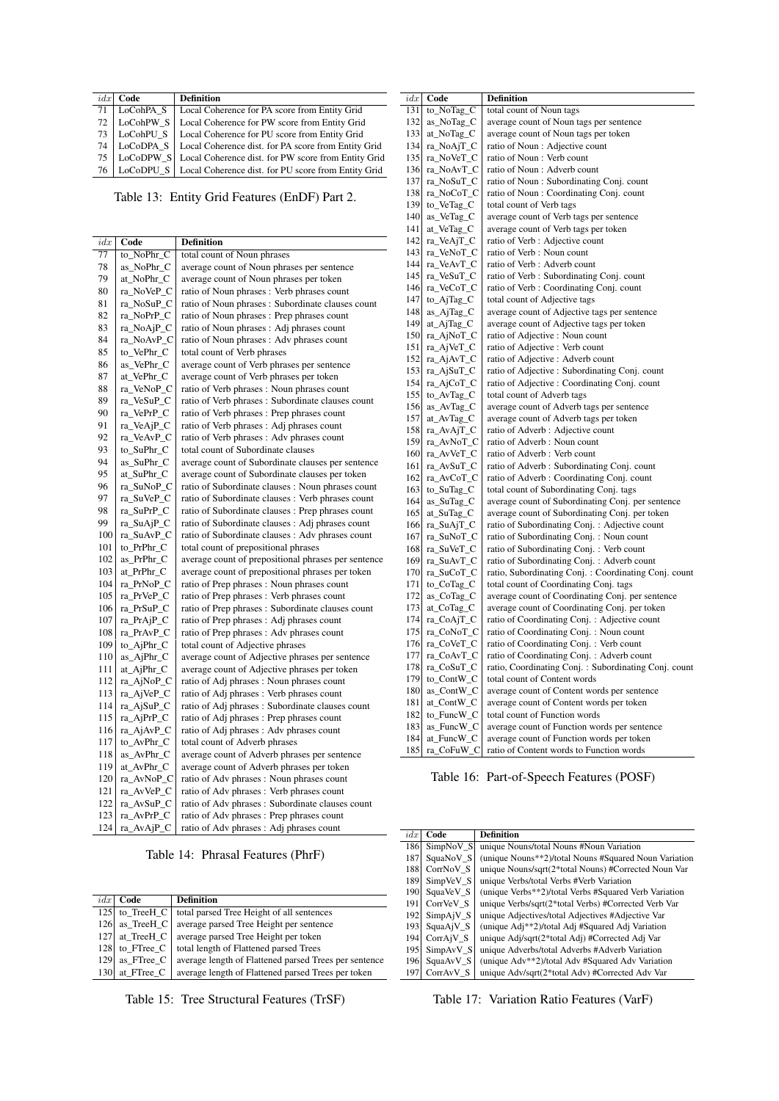|                 | $idx$ Code     | <b>Definition</b>                                                    |
|-----------------|----------------|----------------------------------------------------------------------|
| 71              | LoCohPA S      | Local Coherence for PA score from Entity Grid                        |
|                 | $72$ LoCohPW S | Local Coherence for PW score from Entity Grid                        |
| 73              |                | LoCohPU_S   Local Coherence for PU score from Entity Grid            |
|                 |                | 74   LoCoDPA_S   Local Coherence dist. for PA score from Entity Grid |
| 75 <sup>1</sup> |                | LoCoDPW_S   Local Coherence dist. for PW score from Entity Grid      |
| 76              |                | LoCoDPU_S   Local Coherence dist. for PU score from Entity Grid      |

Table 13: Entity Grid Features (EnDF) Part 2.

| idx | Code       | <b>Definition</b>                                   |
|-----|------------|-----------------------------------------------------|
| 77  | to NoPhr C | total count of Noun phrases                         |
| 78  | as_NoPhr_C | average count of Noun phrases per sentence          |
| 79  | at_NoPhr_C | average count of Noun phrases per token             |
| 80  | ra_NoVeP_C | ratio of Noun phrases : Verb phrases count          |
| 81  | ra_NoSuP_C | ratio of Noun phrases : Subordinate clauses count   |
| 82  | ra_NoPrP_C | ratio of Noun phrases : Prep phrases count          |
| 83  | ra_NoAjP_C | ratio of Noun phrases: Adj phrases count            |
| 84  | ra_NoAvP_C | ratio of Noun phrases : Adv phrases count           |
| 85  |            | total count of Verb phrases                         |
| 86  | to_VePhr_C |                                                     |
|     | as_VePhr_C | average count of Verb phrases per sentence          |
| 87  | at_VePhr_C | average count of Verb phrases per token             |
| 88  | ra_VeNoP_C | ratio of Verb phrases : Noun phrases count          |
| 89  | ra_VeSuP_C | ratio of Verb phrases: Subordinate clauses count    |
| 90  | ra_VePrP_C | ratio of Verb phrases : Prep phrases count          |
| 91  | ra_VeAjP_C | ratio of Verb phrases: Adj phrases count            |
| 92  | ra VeAvP C | ratio of Verb phrases: Adv phrases count            |
| 93  | to SuPhr C | total count of Subordinate clauses                  |
| 94  | as_SuPhr_C | average count of Subordinate clauses per sentence   |
| 95  | at_SuPhr_C | average count of Subordinate clauses per token      |
| 96  | ra_SuNoP_C | ratio of Subordinate clauses: Noun phrases count    |
| 97  | ra_SuVeP_C | ratio of Subordinate clauses : Verb phrases count   |
| 98  | ra_SuPrP_C | ratio of Subordinate clauses : Prep phrases count   |
| 99  | ra_SuAjP_C | ratio of Subordinate clauses : Adj phrases count    |
| 100 | ra_SuAvP_C | ratio of Subordinate clauses : Adv phrases count    |
| 101 | to_PrPhr_C | total count of prepositional phrases                |
| 102 | as_PrPhr_C | average count of prepositional phrases per sentence |
| 103 | at_PrPhr_C | average count of prepositional phrases per token    |
| 104 | ra_PrNoP_C | ratio of Prep phrases: Noun phrases count           |
| 105 | ra_PrVeP_C | ratio of Prep phrases : Verb phrases count          |
| 106 | ra_PrSuP_C | ratio of Prep phrases: Subordinate clauses count    |
| 107 | ra_PrAjP_C | ratio of Prep phrases: Adj phrases count            |
| 108 | ra_PrAvP_C | ratio of Prep phrases : Adv phrases count           |
| 109 | to_AjPhr_C | total count of Adjective phrases                    |
| 110 | as_AjPhr_C | average count of Adjective phrases per sentence     |
| 111 | at_AjPhr_C | average count of Adjective phrases per token        |
| 112 | ra_AjNoP_C | ratio of Adj phrases: Noun phrases count            |
| 113 | ra_AjVeP_C | ratio of Adj phrases : Verb phrases count           |
| 114 | ra_AjSuP_C | ratio of Adj phrases: Subordinate clauses count     |
| 115 | ra AjPrP C | ratio of Adj phrases : Prep phrases count           |
| 116 | ra_AjAvP_C | ratio of Adj phrases: Adv phrases count             |
| 117 | to_AvPhr_C | total count of Adverb phrases                       |
| 118 | as_AvPhr_C | average count of Adverb phrases per sentence        |
| 119 | at_AvPhr_C | average count of Adverb phrases per token           |
| 120 | ra_AvNoP_C | ratio of Adv phrases: Noun phrases count            |
| 121 | ra_AvVeP_C | ratio of Adv phrases: Verb phrases count            |
| 122 | ra_AvSuP_C | ratio of Adv phrases: Subordinate clauses count     |
| 123 | ra_AvPrP_C | ratio of Adv phrases: Prep phrases count            |
| 124 | ra_AvAjP_C | ratio of Adv phrases: Adj phrases count             |

Table 14: Phrasal Features (PhrF)

| idx  | Code       | <b>Definition</b>                                     |
|------|------------|-------------------------------------------------------|
| 125  | to_TreeH_C | total parsed Tree Height of all sentences             |
| 126  | as_TreeH_C | average parsed Tree Height per sentence               |
| 1271 | at TreeH C | average parsed Tree Height per token                  |
| 128  | to FTree C | total length of Flattened parsed Trees                |
| 1291 | as FTree C | average length of Flattened parsed Trees per sentence |
| 1301 | at FTree C | average length of Flattened parsed Trees per token    |

Table 15: Tree Structural Features (TrSF)

| idx | Code       | Definition                                           |
|-----|------------|------------------------------------------------------|
| 131 | to_NoTag_C | total count of Noun tags                             |
| 132 | as_NoTag_C | average count of Noun tags per sentence              |
| 133 | at_NoTag_C | average count of Noun tags per token                 |
| 134 | ra_NoAjT_C | ratio of Noun : Adjective count                      |
| 135 | ra_NoVeT_C | ratio of Noun: Verb count                            |
| 136 | ra_NoAvT_C | ratio of Noun: Adverb count                          |
| 137 | ra_NoSuT_C | ratio of Noun: Subordinating Conj. count             |
| 138 | ra_NoCoT_C | ratio of Noun: Coordinating Conj. count              |
| 139 | to_VeTag_C | total count of Verb tags                             |
| 140 | as_VeTag_C | average count of Verb tags per sentence              |
| 141 | at_VeTag_C | average count of Verb tags per token                 |
| 142 | ra_VeAjT_C | ratio of Verb : Adjective count                      |
| 143 | ra_VeNoT_C | ratio of Verb : Noun count                           |
| 144 | ra_VeAvT_C | ratio of Verb : Adverb count                         |
| 145 | ra_VeSuT_C | ratio of Verb : Subordinating Conj. count            |
| 146 | ra_VeCoT_C | ratio of Verb : Coordinating Conj. count             |
| 147 | to_AjTag_C | total count of Adjective tags                        |
| 148 |            |                                                      |
|     | as_AjTag_C | average count of Adjective tags per sentence         |
| 149 | at_AjTag_C | average count of Adjective tags per token            |
| 150 | ra_AjNoT_C | ratio of Adjective : Noun count                      |
| 151 | ra_AjVeT_C | ratio of Adjective : Verb count                      |
| 152 | ra_AjAvT_C | ratio of Adjective : Adverb count                    |
| 153 | ra_AjSuT_C | ratio of Adjective : Subordinating Conj. count       |
| 154 | ra_AjCoT_C | ratio of Adjective : Coordinating Conj. count        |
| 155 | to_AvTag_C | total count of Adverb tags                           |
| 156 | as_AvTag_C | average count of Adverb tags per sentence            |
| 157 | at_AvTag_C | average count of Adverb tags per token               |
| 158 | ra_AvAjT_C | ratio of Adverb: Adjective count                     |
| 159 | ra_AvNoT_C | ratio of Adverb: Noun count                          |
| 160 | ra AvVeT C | ratio of Adverb: Verb count                          |
| 161 | ra_AvSuT_C | ratio of Adverb: Subordinating Conj. count           |
| 162 | ra_AvCoT_C | ratio of Adverb: Coordinating Conj. count            |
| 163 | to_SuTag_C | total count of Subordinating Conj. tags              |
| 164 | as_SuTag_C | average count of Subordinating Conj. per sentence    |
| 165 | at_SuTag_C | average count of Subordinating Conj. per token       |
| 166 | ra_SuAjT_C | ratio of Subordinating Conj.: Adjective count        |
| 167 | ra_SuNoT_C | ratio of Subordinating Conj.: Noun count             |
| 168 | ra_SuVeT_C | ratio of Subordinating Conj.: Verb count             |
| 169 | ra_SuAvT_C | ratio of Subordinating Conj.: Adverb count           |
| 170 | ra_SuCoT_C | ratio, Subordinating Conj.: Coordinating Conj. count |
| 171 | to_CoTag_C | total count of Coordinating Conj. tags               |
| 172 | as_CoTag_C | average count of Coordinating Conj. per sentence     |
| 173 | at_CoTag_C | average count of Coordinating Conj. per token        |
| 174 | ra_CoAjT_C | ratio of Coordinating Conj.: Adjective count         |
| 175 | ra_CoNoT_C | ratio of Coordinating Conj.: Noun count              |
| 176 | ra_CoVeT_C | ratio of Coordinating Conj.: Verb count              |
| 177 | ra_CoAvT_C | ratio of Coordinating Conj.: Adverb count            |
| 178 | ra_CoSuT_C | ratio, Coordinating Conj.: Subordinating Conj. count |
| 179 | to_ContW_C | total count of Content words                         |
| 180 | as_ContW_C | average count of Content words per sentence          |
| 181 | at_ContW_C | average count of Content words per token             |
| 182 | to_FuncW_C | total count of Function words                        |
| 183 | as_FuncW_C | average count of Function words per sentence         |
| 184 | at_FuncW_C | average count of Function words per token            |
| 185 | ra_CoFuW_C | ratio of Content words to Function words             |

Table 16: Part-of-Speech Features (POSF)

| idx | Code                   | <b>Definition</b>                                     |
|-----|------------------------|-------------------------------------------------------|
| 186 | SimpNoV <sub>S</sub>   | unique Nouns/total Nouns #Noun Variation              |
| 187 | SquaNoV S              | (unique Nouns**2)/total Nouns #Squared Noun Variation |
| 188 | CorrNoV S              | unique Nouns/sqrt(2*total Nouns) #Corrected Noun Var  |
| 189 | SimpVeV S              | unique Verbs/total Verbs #Verb Variation              |
| 190 | SquaVeV S              | (unique Verbs**2)/total Verbs #Squared Verb Variation |
| 191 | CorrVeV S              | unique Verbs/sqrt(2*total Verbs) #Corrected Verb Var  |
| 192 | SimpAjV <sub>S</sub>   | unique Adjectives/total Adjectives #Adjective Var     |
| 193 | SquaAiV S              | (unique Adj**2)/total Adj #Squared Adj Variation      |
| 194 | CorrA <sub>i</sub> V S | unique Adj/sqrt(2*total Adj) #Corrected Adj Var       |
| 195 | SimpAvV_S              | unique Adverbs/total Adverbs #Adverb Variation        |
| 196 | SquaAvV S              | (unique Adv**2)/total Adv #Squared Adv Variation      |
| 197 | CorrAvV S              | unique Adv/sqrt(2*total Adv) #Corrected Adv Var       |

# Table 17: Variation Ratio Features (VarF)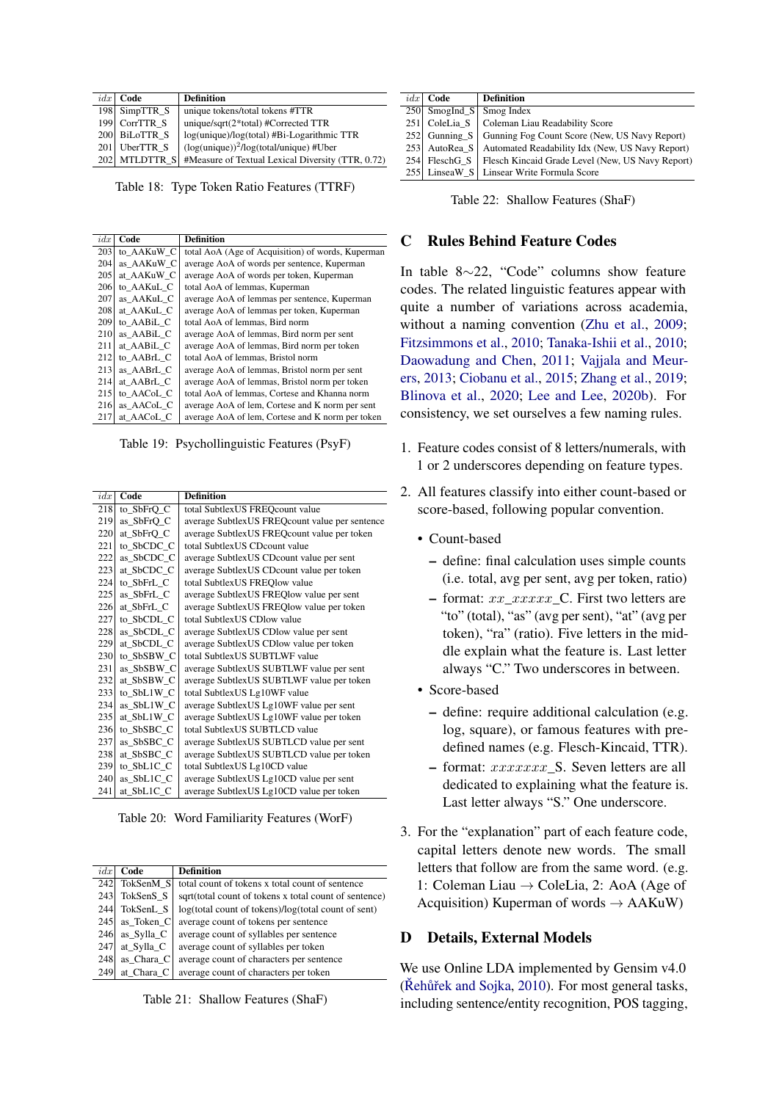|     | $idx$ Code    | <b>Definition</b>                                     |
|-----|---------------|-------------------------------------------------------|
|     | 198 SimpTTR_S | unique tokens/total tokens #TTR                       |
|     | 199 CorrTTR S | unique/sqrt(2*total) #Corrected TTR                   |
|     | 200 BiLoTTR S | log(unique)/log(total) #Bi-Logarithmic TTR            |
|     | 201 UberTTR S | $(log(unique))$ <sup>2</sup> /log(total/unique) #Uber |
| 202 | MTLDTTR S     | #Measure of Textual Lexical Diversity (TTR, 0.72)     |

Table 18: Type Token Ratio Features (TTRF)

| idx | Code       | <b>Definition</b>                                 |
|-----|------------|---------------------------------------------------|
| 203 | to AAKuW C | total AoA (Age of Acquisition) of words, Kuperman |
| 204 | as AAKuW C | average AoA of words per sentence, Kuperman       |
| 205 | at AAKuW C | average AoA of words per token, Kuperman          |
| 206 | to AAKuL C | total AoA of lemmas, Kuperman                     |
| 207 | as AAKuL C | average AoA of lemmas per sentence, Kuperman      |
| 208 | at AAKuL C | average AoA of lemmas per token, Kuperman         |
| 209 | to AABiL C | total AoA of lemmas, Bird norm                    |
| 210 | as AABiL C | average AoA of lemmas, Bird norm per sent         |
| 211 | at AABiL C | average AoA of lemmas, Bird norm per token        |
| 212 | to AABrL C | total AoA of lemmas, Bristol norm                 |
| 213 | as AABrL C | average AoA of lemmas, Bristol norm per sent      |
| 214 | at AABrL C | average AoA of lemmas, Bristol norm per token     |
| 215 | to AACoL C | total AoA of lemmas, Cortese and Khanna norm      |
| 216 | as AACoL C | average AoA of lem, Cortese and K norm per sent   |
| 217 | at AACoL C | average AoA of lem, Cortese and K norm per token  |

Table 19: Psychollinguistic Features (PsyF)

| idx | Code       | <b>Definition</b>                              |
|-----|------------|------------------------------------------------|
| 218 | to_SbFrQ_C | total SubtlexUS FREQcount value                |
| 219 | as_SbFrQ_C | average SubtlexUS FREQcount value per sentence |
| 220 | at SbFrO C | average SubtlexUS FREQcount value per token    |
| 221 | to SbCDC C | total SubtlexUS CDcount value                  |
| 222 | as SbCDC C | average SubtlexUS CDcount value per sent       |
| 223 | at SbCDC C | average SubtlexUS CDcount value per token      |
| 224 | to_SbFrL_C | total SubtlexUS FREQlow value                  |
| 225 | as_SbFrL_C | average SubtlexUS FREQlow value per sent       |
| 226 | at SbFrL C | average SubtlexUS FREQlow value per token      |
| 227 | to_SbCDL_C | total SubtlexUS CDlow value                    |
| 228 | as_SbCDL_C | average SubtlexUS CDlow value per sent         |
| 229 | at SbCDL C | average SubtlexUS CDlow value per token        |
| 230 | to SbSBW C | total SubtlexUS SUBTLWF value                  |
| 231 | as SbSBW C | average SubtlexUS SUBTLWF value per sent       |
| 232 | at SbSBW C | average SubtlexUS SUBTLWF value per token      |
| 233 | to_SbL1W_C | total SubtlexUS Lg10WF value                   |
| 234 | as SbL1W C | average SubtlexUS Lg10WF value per sent        |
| 235 | at SbL1W C | average SubtlexUS Lg10WF value per token       |
| 236 | to_SbSBC_C | total SubtlexUS SUBTLCD value                  |
| 237 | as SbSBC C | average SubtlexUS SUBTLCD value per sent       |
| 238 | at_SbSBC_C | average SubtlexUS SUBTLCD value per token      |
| 239 | to SbL1C C | total SubtlexUS Lg10CD value                   |
| 240 | as SbL1C C | average SubtlexUS Lg10CD value per sent        |
| 241 | at_SbL1C_C | average SubtlexUS Lg10CD value per token       |

Table 20: Word Familiarity Features (WorF)

| idx | Code                 | <b>Definition</b>                                     |
|-----|----------------------|-------------------------------------------------------|
| 242 | TokSenM <sub>S</sub> | total count of tokens x total count of sentence       |
| 243 | TokSenS <sub>S</sub> | sqrt(total count of tokens x total count of sentence) |
| 244 | TokSenL <sub>S</sub> | log(total count of tokens)/log(total count of sent)   |
| 245 | as Token C           | average count of tokens per sentence                  |
| 246 | as Sylla C           | average count of syllables per sentence               |
| 247 | at Sylla C           | average count of syllables per token                  |
| 248 | as Chara C           | average count of characters per sentence              |
| 249 | at Chara C           | average count of characters per token                 |

Table 21: Shallow Features (ShaF)

| idx | Code            | <b>Definition</b>                                            |
|-----|-----------------|--------------------------------------------------------------|
|     | $250$ SmogInd S | Smog Index                                                   |
|     | 251 ColeLia S   | Coleman Liau Readability Score                               |
|     | $252$ Gunning S | Gunning Fog Count Score (New, US Navy Report)                |
|     | 253 AutoRea S   | Automated Readability Idx (New, US Navy Report)              |
| 254 |                 | FleschG_S   Flesch Kincaid Grade Level (New, US Navy Report) |
|     |                 | 255 LinseaW S Linsear Write Formula Score                    |

| Table 22: Shallow Features (ShaF) |  |  |  |
|-----------------------------------|--|--|--|
|-----------------------------------|--|--|--|

## C Rules Behind Feature Codes

In table 8∼22, "Code" columns show feature codes. The related linguistic features appear with quite a number of variations across academia, without a naming convention [\(Zhu et al.,](#page-12-13) [2009;](#page-12-13) [Fitzsimmons et al.,](#page-10-19) [2010;](#page-10-19) [Tanaka-Ishii et al.,](#page-12-14) [2010;](#page-12-14) [Daowadung and Chen,](#page-9-15) [2011;](#page-9-15) [Vajjala and Meur](#page-12-15)[ers,](#page-12-15) [2013;](#page-12-15) [Ciobanu et al.,](#page-9-16) [2015;](#page-9-16) [Zhang et al.,](#page-12-16) [2019;](#page-12-16) [Blinova et al.,](#page-9-17) [2020;](#page-9-17) [Lee and Lee,](#page-10-20) [2020b\)](#page-10-20). For consistency, we set ourselves a few naming rules.

- 1. Feature codes consist of 8 letters/numerals, with 1 or 2 underscores depending on feature types.
- 2. All features classify into either count-based or score-based, following popular convention.
	- Count-based
		- define: final calculation uses simple counts (i.e. total, avg per sent, avg per token, ratio)
		- format:  $xx$  xxxxx C. First two letters are "to" (total), "as" (avg per sent), "at" (avg per token), "ra" (ratio). Five letters in the middle explain what the feature is. Last letter always "C." Two underscores in between.
	- Score-based
		- define: require additional calculation (e.g. log, square), or famous features with predefined names (e.g. Flesch-Kincaid, TTR).
		- $-$  format:  $xxxxxxx$  S. Seven letters are all dedicated to explaining what the feature is. Last letter always "S." One underscore.
- 3. For the "explanation" part of each feature code, capital letters denote new words. The small letters that follow are from the same word. (e.g. 1: Coleman Liau → ColeLia, 2: AoA (Age of Acquisition) Kuperman of words  $\rightarrow$  AAKuW)

## D Details, External Models

We use Online LDA implemented by Gensim  $v4.0$  $(Kehuřek and Sojka, 2010)$  $(Kehuřek and Sojka, 2010)$ . For most general tasks, including sentence/entity recognition, POS tagging,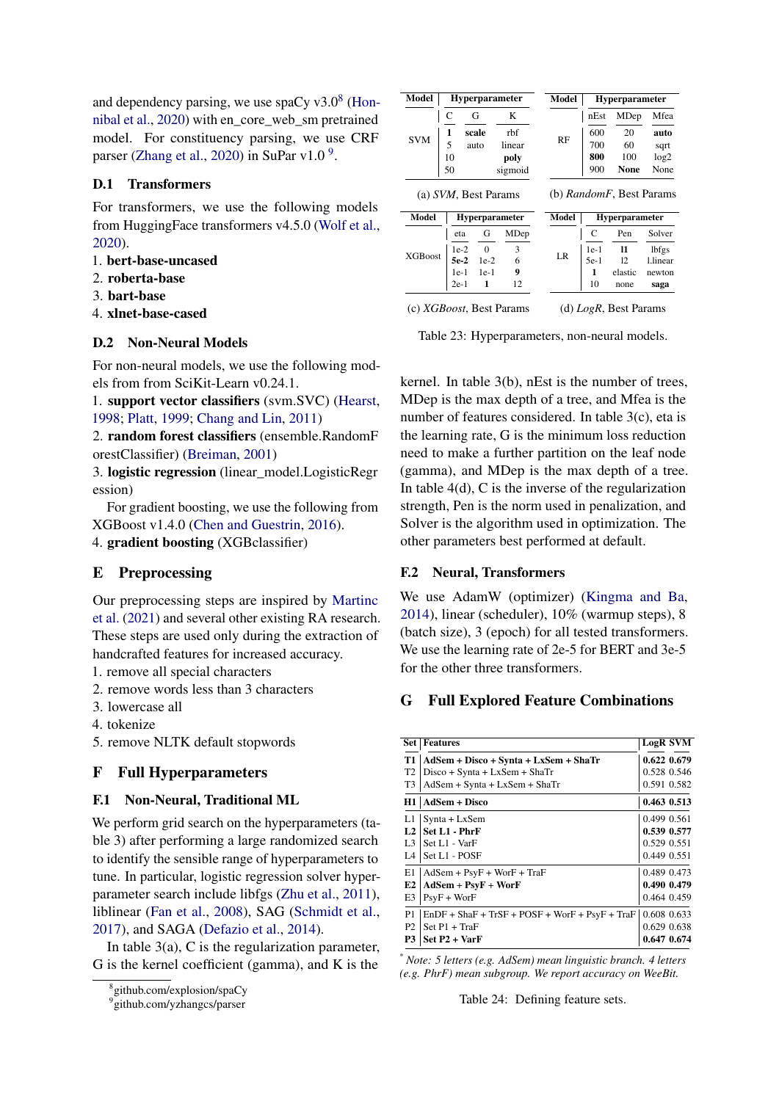and dependency parsing, we use spaCy  $v3.0<sup>8</sup>$  $v3.0<sup>8</sup>$  $v3.0<sup>8</sup>$  [\(Hon](#page-10-21)[nibal et al.,](#page-10-21) [2020\)](#page-10-21) with en\_core\_web\_sm pretrained model. For constituency parsing, we use CRF parser [\(Zhang et al.,](#page-12-18) [2020\)](#page-12-18) in SuPar v1.0<sup>[9](#page-16-1)</sup>.

## D.1 Transformers

For transformers, we use the following models from HuggingFace transformers v4.5.0 [\(Wolf et al.,](#page-12-19) [2020\)](#page-12-19).

- 1. bert-base-uncased
- 2. roberta-base
- 3. bart-base
- 4. xlnet-base-cased

# D.2 Non-Neural Models

For non-neural models, we use the following models from from SciKit-Learn v0.24.1.

1. support vector classifiers (svm.SVC) [\(Hearst,](#page-10-22) [1998;](#page-10-22) [Platt,](#page-11-23) [1999;](#page-11-23) [Chang and Lin,](#page-9-18) [2011\)](#page-9-18)

2. random forest classifiers (ensemble.RandomF orestClassifier) [\(Breiman,](#page-9-19) [2001\)](#page-9-19)

3. logistic regression (linear\_model.LogisticRegr ession)

For gradient boosting, we use the following from XGBoost v1.4.0 [\(Chen and Guestrin,](#page-9-14) [2016\)](#page-9-14).

4. gradient boosting (XGBclassifier)

# E Preprocessing

Our preprocessing steps are inspired by [Martinc](#page-11-4) [et al.](#page-11-4) [\(2021\)](#page-11-4) and several other existing RA research. These steps are used only during the extraction of handcrafted features for increased accuracy.

- 1. remove all special characters
- 2. remove words less than 3 characters
- 3. lowercase all
- 4. tokenize

5. remove NLTK default stopwords

# F Full Hyperparameters

# F.1 Non-Neural, Traditional ML

We perform grid search on the hyperparameters (table 3) after performing a large randomized search to identify the sensible range of hyperparameters to tune. In particular, logistic regression solver hyperparameter search include libfgs [\(Zhu et al.,](#page-12-20) [2011\)](#page-12-20), liblinear [\(Fan et al.,](#page-9-20) [2008\)](#page-9-20), SAG [\(Schmidt et al.,](#page-12-21) [2017\)](#page-12-21), and SAGA [\(Defazio et al.,](#page-9-21) [2014\)](#page-9-21).

In table  $3(a)$ , C is the regularization parameter, G is the kernel coefficient (gamma), and K is the

| Model          |        | <b>Hyperparameter</b> |         | Model     |        | Hyperparameter                   |          |
|----------------|--------|-----------------------|---------|-----------|--------|----------------------------------|----------|
|                | C      | G                     | K       |           | nEst   | MDep                             | Mfea     |
|                | 1      | scale                 | rbf     |           | 600    | 20                               | auto     |
| <b>SVM</b>     | 5      | auto                  | linear  | <b>RF</b> | 700    | 60                               | sqrt     |
|                | 10     |                       | poly    |           | 800    | 100                              | log2     |
|                | 50     |                       | sigmoid |           | 900    | <b>None</b>                      | None     |
|                |        | (a) SVM, Best Params  |         |           |        | (b) <i>RandomF</i> , Best Params |          |
|                |        |                       |         |           |        |                                  |          |
| Model          |        | Hyperparameter        |         | Model     |        | Hyperparameter                   |          |
|                | eta    | G                     | MDep    |           | C      | Pen                              | Solver   |
|                | $1e-2$ | $\overline{0}$        | 3       |           | $1e-1$ | 11                               | lbfgs    |
| <b>XGBoost</b> | 5e-2   | $1e-2$                | 6       | LR        | $5e-1$ | 12                               | l.linear |
|                | $1e-1$ | $1e-1$                | 9       |           | 1      | elastic                          | newton   |

Table 23: Hyperparameters, non-neural models.

kernel. In table 3(b), nEst is the number of trees, MDep is the max depth of a tree, and Mfea is the number of features considered. In table 3(c), eta is the learning rate, G is the minimum loss reduction need to make a further partition on the leaf node (gamma), and MDep is the max depth of a tree. In table  $4(d)$ , C is the inverse of the regularization strength, Pen is the norm used in penalization, and Solver is the algorithm used in optimization. The other parameters best performed at default.

## F.2 Neural, Transformers

We use AdamW (optimizer) [\(Kingma and Ba,](#page-10-23) [2014\)](#page-10-23), linear (scheduler), 10% (warmup steps), 8 (batch size), 3 (epoch) for all tested transformers. We use the learning rate of 2e-5 for BERT and 3e-5 for the other three transformers.

# G Full Explored Feature Combinations

|                | <b>Set   Features</b>                            | <b>LogR SVM</b> |  |
|----------------|--------------------------------------------------|-----------------|--|
| T1             | AdSem + Disco + Synta + LxSem + ShaTr            | 0.622 0.679     |  |
| T <sub>2</sub> | $Disco + Synta + LxSem + ShaTr$                  | 0.528 0.546     |  |
| T <sub>3</sub> | $AdSem + Synta + LxSem + ShaTr$                  | 0.591 0.582     |  |
|                | $H1$   AdSem + Disco                             | 0.463 0.513     |  |
| L1.            | $Synta + LxSem$                                  | 0.499 0.561     |  |
| L <sub>2</sub> | Set L1 - PhrF                                    | 0.539 0.577     |  |
| L <sub>3</sub> | Set L1 - VarF                                    | 0.529 0.551     |  |
| L4             | Set L1 - POSF                                    | 0.449 0.551     |  |
| E1             | $AdSem + PsyF + WorF + TraF$                     | 0.489 0.473     |  |
| E2             | $AdSem + PsyF + WorF$                            | 0.490 0.479     |  |
| E3             | $PSVF + WorF$                                    | 0.464 0.459     |  |
| P1             | $EnDF + ShaF + TrSF + POST + WorF + PsyF + TraF$ | 0.608 0.633     |  |
| P <sub>2</sub> | $Set P1 + TraF$                                  | 0.629 0.638     |  |
| P3             | $Set P2 + VarF$                                  | 0.647 0.674     |  |

\* *Note: 5 letters (e.g. AdSem) mean linguistic branch. 4 letters (e.g. PhrF) mean subgroup. We report accuracy on WeeBit.*

Table 24: Defining feature sets.

<span id="page-16-0"></span><sup>8</sup> github.com/explosion/spaCy

<span id="page-16-1"></span><sup>9</sup> github.com/yzhangcs/parser